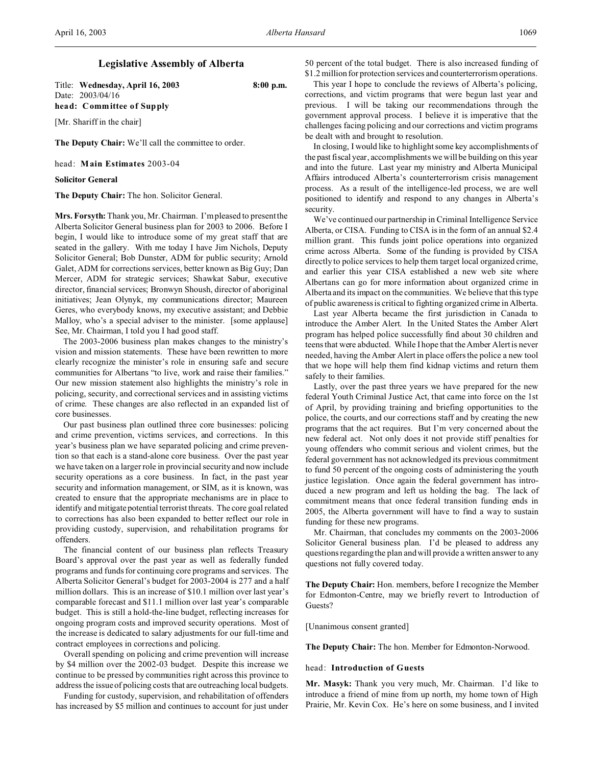## **Legislative Assembly of Alberta**

Title: **Wednesday, April 16, 2003 8:00 p.m.** Date: 2003/04/16 **head: Committee of Supply**

[Mr. Shariff in the chair]

**The Deputy Chair:** We'll call the committee to order.

head: **Main Estimates** 2003-04

**Solicitor General**

**The Deputy Chair:** The hon. Solicitor General.

**Mrs. Forsyth:** Thank you, Mr. Chairman. I'm pleased to present the Alberta Solicitor General business plan for 2003 to 2006. Before I begin, I would like to introduce some of my great staff that are seated in the gallery. With me today I have Jim Nichols, Deputy Solicitor General; Bob Dunster, ADM for public security; Arnold Galet, ADM for corrections services, better known as Big Guy; Dan Mercer, ADM for strategic services; Shawkat Sabur, executive director, financial services; Bronwyn Shoush, director of aboriginal initiatives; Jean Olynyk, my communications director; Maureen Geres, who everybody knows, my executive assistant; and Debbie Malloy, who's a special adviser to the minister. [some applause] See, Mr. Chairman, I told you I had good staff.

The 2003-2006 business plan makes changes to the ministry's vision and mission statements. These have been rewritten to more clearly recognize the minister's role in ensuring safe and secure communities for Albertans "to live, work and raise their families." Our new mission statement also highlights the ministry's role in policing, security, and correctional services and in assisting victims of crime. These changes are also reflected in an expanded list of core businesses.

Our past business plan outlined three core businesses: policing and crime prevention, victims services, and corrections. In this year's business plan we have separated policing and crime prevention so that each is a stand-alone core business. Over the past year we have taken on a larger role in provincial security and now include security operations as a core business. In fact, in the past year security and information management, or SIM, as it is known, was created to ensure that the appropriate mechanisms are in place to identify and mitigate potential terrorist threats. The core goal related to corrections has also been expanded to better reflect our role in providing custody, supervision, and rehabilitation programs for offenders.

The financial content of our business plan reflects Treasury Board's approval over the past year as well as federally funded programs and funds for continuing core programs and services. The Alberta Solicitor General's budget for 2003-2004 is 277 and a half million dollars. This is an increase of \$10.1 million over last year's comparable forecast and \$11.1 million over last year's comparable budget. This is still a hold-the-line budget, reflecting increases for ongoing program costs and improved security operations. Most of the increase is dedicated to salary adjustments for our full-time and contract employees in corrections and policing.

Overall spending on policing and crime prevention will increase by \$4 million over the 2002-03 budget. Despite this increase we continue to be pressed by communities right across this province to address the issue of policing costs that are outreaching local budgets.

Funding for custody, supervision, and rehabilitation of offenders has increased by \$5 million and continues to account for just under

50 percent of the total budget. There is also increased funding of \$1.2 million for protection services and counterterrorism operations.

This year I hope to conclude the reviews of Alberta's policing, corrections, and victim programs that were begun last year and previous. I will be taking our recommendations through the government approval process. I believe it is imperative that the challenges facing policing and our corrections and victim programs be dealt with and brought to resolution.

In closing, I would like to highlight some key accomplishments of the past fiscal year, accomplishments we will be building on this year and into the future. Last year my ministry and Alberta Municipal Affairs introduced Alberta's counterterrorism crisis management process. As a result of the intelligence-led process, we are well positioned to identify and respond to any changes in Alberta's security.

We've continued our partnership in Criminal Intelligence Service Alberta, or CISA. Funding to CISA is in the form of an annual \$2.4 million grant. This funds joint police operations into organized crime across Alberta. Some of the funding is provided by CISA directly to police services to help them target local organized crime, and earlier this year CISA established a new web site where Albertans can go for more information about organized crime in Alberta and its impact on the communities. We believe that this type of public awareness is critical to fighting organized crime in Alberta.

Last year Alberta became the first jurisdiction in Canada to introduce the Amber Alert. In the United States the Amber Alert program has helped police successfully find about 30 children and teens that were abducted. While I hope that the Amber Alert is never needed, having the Amber Alert in place offers the police a new tool that we hope will help them find kidnap victims and return them safely to their families.

Lastly, over the past three years we have prepared for the new federal Youth Criminal Justice Act, that came into force on the 1st of April, by providing training and briefing opportunities to the police, the courts, and our corrections staff and by creating the new programs that the act requires. But I'm very concerned about the new federal act. Not only does it not provide stiff penalties for young offenders who commit serious and violent crimes, but the federal government has not acknowledged its previous commitment to fund 50 percent of the ongoing costs of administering the youth justice legislation. Once again the federal government has introduced a new program and left us holding the bag. The lack of commitment means that once federal transition funding ends in 2005, the Alberta government will have to find a way to sustain funding for these new programs.

Mr. Chairman, that concludes my comments on the 2003-2006 Solicitor General business plan. I'd be pleased to address any questions regarding the plan and will provide a written answer to any questions not fully covered today.

**The Deputy Chair:** Hon. members, before I recognize the Member for Edmonton-Centre, may we briefly revert to Introduction of Guests?

[Unanimous consent granted]

**The Deputy Chair:** The hon. Member for Edmonton-Norwood.

## head: **Introduction of Guests**

**Mr. Masyk:** Thank you very much, Mr. Chairman. I'd like to introduce a friend of mine from up north, my home town of High Prairie, Mr. Kevin Cox. He's here on some business, and I invited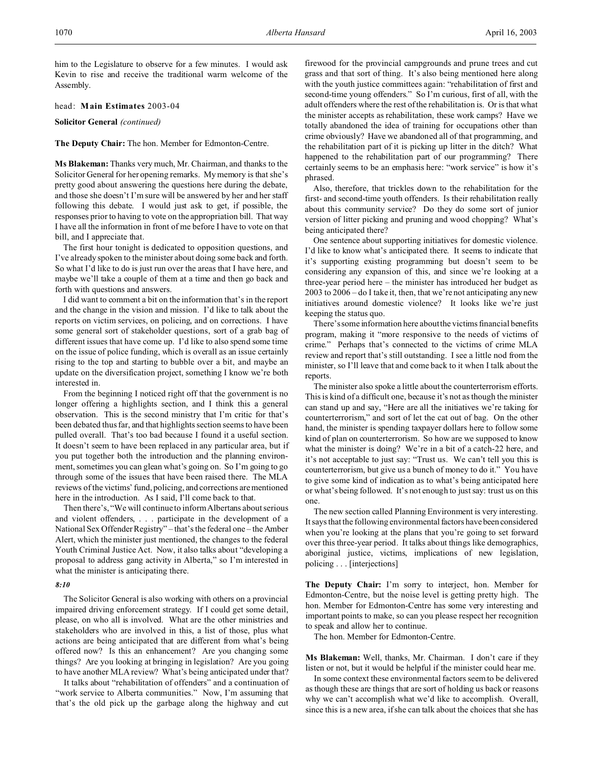him to the Legislature to observe for a few minutes. I would ask Kevin to rise and receive the traditional warm welcome of the Assembly.

head: **Main Estimates** 2003-04

**Solicitor General** *(continued)*

**The Deputy Chair:** The hon. Member for Edmonton-Centre.

**Ms Blakeman:** Thanks very much, Mr. Chairman, and thanks to the Solicitor General for her opening remarks. My memory is that she's pretty good about answering the questions here during the debate, and those she doesn't I'm sure will be answered by her and her staff following this debate. I would just ask to get, if possible, the responses prior to having to vote on the appropriation bill. That way I have all the information in front of me before I have to vote on that bill, and I appreciate that.

The first hour tonight is dedicated to opposition questions, and I've already spoken to the minister about doing some back and forth. So what I'd like to do is just run over the areas that I have here, and maybe we'll take a couple of them at a time and then go back and forth with questions and answers.

I did want to comment a bit on the information that's in the report and the change in the vision and mission. I'd like to talk about the reports on victim services, on policing, and on corrections. I have some general sort of stakeholder questions, sort of a grab bag of different issues that have come up. I'd like to also spend some time on the issue of police funding, which is overall as an issue certainly rising to the top and starting to bubble over a bit, and maybe an update on the diversification project, something I know we're both interested in.

From the beginning I noticed right off that the government is no longer offering a highlights section, and I think this a general observation. This is the second ministry that I'm critic for that's been debated thus far, and that highlights section seems to have been pulled overall. That's too bad because I found it a useful section. It doesn't seem to have been replaced in any particular area, but if you put together both the introduction and the planning environment, sometimes you can glean what's going on. So I'm going to go through some of the issues that have been raised there. The MLA reviews of the victims' fund, policing, and corrections are mentioned here in the introduction. As I said, I'll come back to that.

Then there's, "We will continue to inform Albertans about serious and violent offenders, . . . participate in the development of a National Sex Offender Registry" – that's the federal one – the Amber Alert, which the minister just mentioned, the changes to the federal Youth Criminal Justice Act. Now, it also talks about "developing a proposal to address gang activity in Alberta," so I'm interested in what the minister is anticipating there.

## *8:10*

The Solicitor General is also working with others on a provincial impaired driving enforcement strategy. If I could get some detail, please, on who all is involved. What are the other ministries and stakeholders who are involved in this, a list of those, plus what actions are being anticipated that are different from what's being offered now? Is this an enhancement? Are you changing some things? Are you looking at bringing in legislation? Are you going to have another MLA review? What's being anticipated under that?

It talks about "rehabilitation of offenders" and a continuation of "work service to Alberta communities." Now, I'm assuming that that's the old pick up the garbage along the highway and cut

firewood for the provincial campgrounds and prune trees and cut grass and that sort of thing. It's also being mentioned here along with the youth justice committees again: "rehabilitation of first and second-time young offenders." So I'm curious, first of all, with the adult offenders where the rest of the rehabilitation is. Or is that what the minister accepts as rehabilitation, these work camps? Have we totally abandoned the idea of training for occupations other than crime obviously? Have we abandoned all of that programming, and the rehabilitation part of it is picking up litter in the ditch? What happened to the rehabilitation part of our programming? There certainly seems to be an emphasis here: "work service" is how it's phrased.

Also, therefore, that trickles down to the rehabilitation for the first- and second-time youth offenders. Is their rehabilitation really about this community service? Do they do some sort of junior version of litter picking and pruning and wood chopping? What's being anticipated there?

One sentence about supporting initiatives for domestic violence. I'd like to know what's anticipated there. It seems to indicate that it's supporting existing programming but doesn't seem to be considering any expansion of this, and since we're looking at a three-year period here – the minister has introduced her budget as 2003 to 2006 – do I take it, then, that we're not anticipating any new initiatives around domestic violence? It looks like we're just keeping the status quo.

There's some information here about the victims financial benefits program, making it "more responsive to the needs of victims of crime." Perhaps that's connected to the victims of crime MLA review and report that's still outstanding. I see a little nod from the minister, so I'll leave that and come back to it when I talk about the reports.

The minister also spoke a little about the counterterrorism efforts. This is kind of a difficult one, because it's not as though the minister can stand up and say, "Here are all the initiatives we're taking for counterterrorism," and sort of let the cat out of bag. On the other hand, the minister is spending taxpayer dollars here to follow some kind of plan on counterterrorism. So how are we supposed to know what the minister is doing? We're in a bit of a catch-22 here, and it's not acceptable to just say: "Trust us. We can't tell you this is counterterrorism, but give us a bunch of money to do it." You have to give some kind of indication as to what's being anticipated here or what's being followed. It's not enough to just say: trust us on this one.

The new section called Planning Environment is very interesting. It says that the following environmental factors have been considered when you're looking at the plans that you're going to set forward over this three-year period. It talks about things like demographics, aboriginal justice, victims, implications of new legislation, policing . . . [interjections]

**The Deputy Chair:** I'm sorry to interject, hon. Member for Edmonton-Centre, but the noise level is getting pretty high. The hon. Member for Edmonton-Centre has some very interesting and important points to make, so can you please respect her recognition to speak and allow her to continue.

The hon. Member for Edmonton-Centre.

**Ms Blakeman:** Well, thanks, Mr. Chairman. I don't care if they listen or not, but it would be helpful if the minister could hear me.

In some context these environmental factors seem to be delivered as though these are things that are sort of holding us back or reasons why we can't accomplish what we'd like to accomplish. Overall, since this is a new area, if she can talk about the choices that she has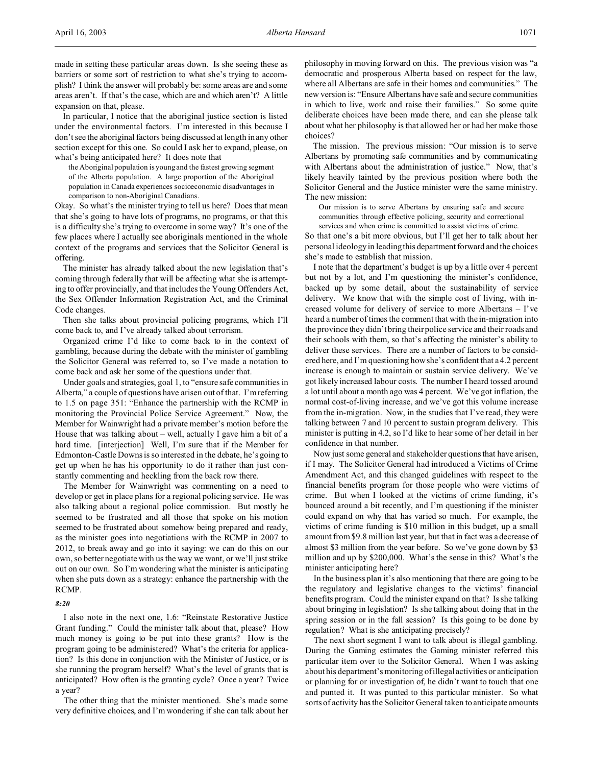In particular, I notice that the aboriginal justice section is listed under the environmental factors. I'm interested in this because I don't see the aboriginal factors being discussed at length in any other section except for this one. So could I ask her to expand, please, on what's being anticipated here? It does note that

the Aboriginal population is young and the fastest growing segment of the Alberta population. A large proportion of the Aboriginal population in Canada experiences socioeconomic disadvantages in comparison to non-Aboriginal Canadians.

Okay. So what's the minister trying to tell us here? Does that mean that she's going to have lots of programs, no programs, or that this is a difficulty she's trying to overcome in some way? It's one of the few places where I actually see aboriginals mentioned in the whole context of the programs and services that the Solicitor General is offering.

The minister has already talked about the new legislation that's coming through federally that will be affecting what she is attempting to offer provincially, and that includes the Young Offenders Act, the Sex Offender Information Registration Act, and the Criminal Code changes.

Then she talks about provincial policing programs, which I'll come back to, and I've already talked about terrorism.

Organized crime I'd like to come back to in the context of gambling, because during the debate with the minister of gambling the Solicitor General was referred to, so I've made a notation to come back and ask her some of the questions under that.

Under goals and strategies, goal 1, to "ensure safe communities in Alberta," a couple of questions have arisen out of that. I'm referring to 1.5 on page 351: "Enhance the partnership with the RCMP in monitoring the Provincial Police Service Agreement." Now, the Member for Wainwright had a private member's motion before the House that was talking about – well, actually I gave him a bit of a hard time. [interjection] Well, I'm sure that if the Member for Edmonton-Castle Downs is so interested in the debate, he's going to get up when he has his opportunity to do it rather than just constantly commenting and heckling from the back row there.

The Member for Wainwright was commenting on a need to develop or get in place plans for a regional policing service. He was also talking about a regional police commission. But mostly he seemed to be frustrated and all those that spoke on his motion seemed to be frustrated about somehow being prepared and ready, as the minister goes into negotiations with the RCMP in 2007 to 2012, to break away and go into it saying: we can do this on our own, so better negotiate with us the way we want, or we'll just strike out on our own. So I'm wondering what the minister is anticipating when she puts down as a strategy: enhance the partnership with the RCMP.

## *8:20*

I also note in the next one, 1.6: "Reinstate Restorative Justice Grant funding." Could the minister talk about that, please? How much money is going to be put into these grants? How is the program going to be administered? What's the criteria for application? Is this done in conjunction with the Minister of Justice, or is she running the program herself? What's the level of grants that is anticipated? How often is the granting cycle? Once a year? Twice a year?

The other thing that the minister mentioned. She's made some very definitive choices, and I'm wondering if she can talk about her philosophy in moving forward on this. The previous vision was "a democratic and prosperous Alberta based on respect for the law, where all Albertans are safe in their homes and communities." The new version is: "Ensure Albertans have safe and secure communities in which to live, work and raise their families." So some quite deliberate choices have been made there, and can she please talk about what her philosophy is that allowed her or had her make those choices?

The mission. The previous mission: "Our mission is to serve Albertans by promoting safe communities and by communicating with Albertans about the administration of justice." Now, that's likely heavily tainted by the previous position where both the Solicitor General and the Justice minister were the same ministry. The new mission:

Our mission is to serve Albertans by ensuring safe and secure communities through effective policing, security and correctional services and when crime is committed to assist victims of crime.

So that one's a bit more obvious, but I'll get her to talk about her personal ideology in leading this department forward and the choices she's made to establish that mission.

I note that the department's budget is up by a little over 4 percent but not by a lot, and I'm questioning the minister's confidence, backed up by some detail, about the sustainability of service delivery. We know that with the simple cost of living, with increased volume for delivery of service to more Albertans – I've heard a number of times the comment that with the in-migration into the province they didn't bring their police service and their roads and their schools with them, so that's affecting the minister's ability to deliver these services. There are a number of factors to be considered here, and I'm questioning how she's confident that a 4.2 percent increase is enough to maintain or sustain service delivery. We've got likely increased labour costs. The number I heard tossed around a lot until about a month ago was 4 percent. We've got inflation, the normal cost-of-living increase, and we've got this volume increase from the in-migration. Now, in the studies that I've read, they were talking between 7 and 10 percent to sustain program delivery. This minister is putting in 4.2, so I'd like to hear some of her detail in her confidence in that number.

Now just some general and stakeholder questions that have arisen, if I may. The Solicitor General had introduced a Victims of Crime Amendment Act, and this changed guidelines with respect to the financial benefits program for those people who were victims of crime. But when I looked at the victims of crime funding, it's bounced around a bit recently, and I'm questioning if the minister could expand on why that has varied so much. For example, the victims of crime funding is \$10 million in this budget, up a small amount from \$9.8 million last year, but that in fact was a decrease of almost \$3 million from the year before. So we've gone down by \$3 million and up by \$200,000. What's the sense in this? What's the minister anticipating here?

In the business plan it's also mentioning that there are going to be the regulatory and legislative changes to the victims' financial benefits program. Could the minister expand on that? Is she talking about bringing in legislation? Is she talking about doing that in the spring session or in the fall session? Is this going to be done by regulation? What is she anticipating precisely?

The next short segment I want to talk about is illegal gambling. During the Gaming estimates the Gaming minister referred this particular item over to the Solicitor General. When I was asking about his department's monitoring of illegal activities or anticipation or planning for or investigation of, he didn't want to touch that one and punted it. It was punted to this particular minister. So what sorts of activity has the Solicitor General taken to anticipate amounts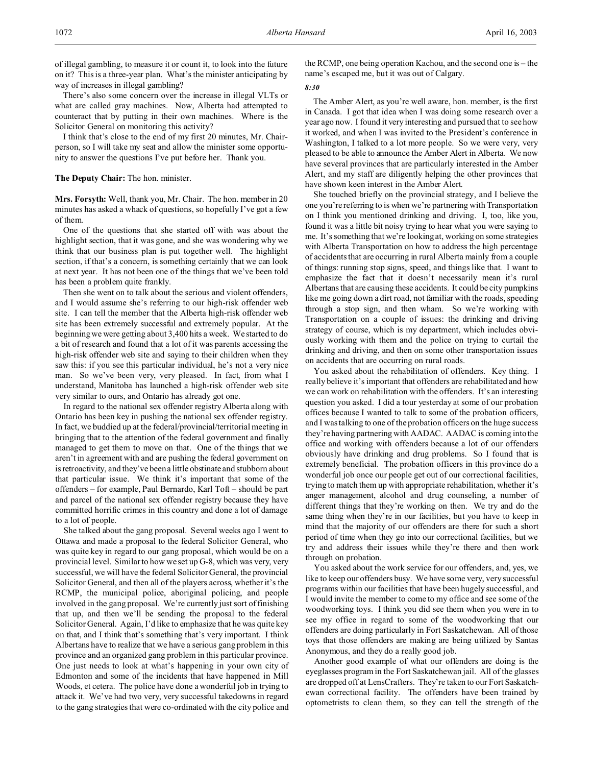of illegal gambling, to measure it or count it, to look into the future on it? This is a three-year plan. What's the minister anticipating by way of increases in illegal gambling?

There's also some concern over the increase in illegal VLTs or what are called gray machines. Now, Alberta had attempted to counteract that by putting in their own machines. Where is the Solicitor General on monitoring this activity?

I think that's close to the end of my first 20 minutes, Mr. Chairperson, so I will take my seat and allow the minister some opportunity to answer the questions I've put before her. Thank you.

## **The Deputy Chair:** The hon. minister.

**Mrs. Forsyth:** Well, thank you, Mr. Chair. The hon. member in 20 minutes has asked a whack of questions, so hopefully I've got a few of them.

One of the questions that she started off with was about the highlight section, that it was gone, and she was wondering why we think that our business plan is put together well. The highlight section, if that's a concern, is something certainly that we can look at next year. It has not been one of the things that we've been told has been a problem quite frankly.

Then she went on to talk about the serious and violent offenders, and I would assume she's referring to our high-risk offender web site. I can tell the member that the Alberta high-risk offender web site has been extremely successful and extremely popular. At the beginning we were getting about 3,400 hits a week. We started to do a bit of research and found that a lot of it was parents accessing the high-risk offender web site and saying to their children when they saw this: if you see this particular individual, he's not a very nice man. So we've been very, very pleased. In fact, from what I understand, Manitoba has launched a high-risk offender web site very similar to ours, and Ontario has already got one.

In regard to the national sex offender registry Alberta along with Ontario has been key in pushing the national sex offender registry. In fact, we buddied up at the federal/provincial/territorial meeting in bringing that to the attention of the federal government and finally managed to get them to move on that. One of the things that we aren't in agreement with and are pushing the federal government on is retroactivity, and they've been a little obstinate and stubborn about that particular issue. We think it's important that some of the offenders – for example, Paul Bernardo, Karl Toft – should be part and parcel of the national sex offender registry because they have committed horrific crimes in this country and done a lot of damage to a lot of people.

She talked about the gang proposal. Several weeks ago I went to Ottawa and made a proposal to the federal Solicitor General, who was quite key in regard to our gang proposal, which would be on a provincial level. Similar to how we set up G-8, which was very, very successful, we will have the federal Solicitor General, the provincial Solicitor General, and then all of the players across, whether it's the RCMP, the municipal police, aboriginal policing, and people involved in the gang proposal. We're currently just sort of finishing that up, and then we'll be sending the proposal to the federal Solicitor General. Again, I'd like to emphasize that he was quite key on that, and I think that's something that's very important. I think Albertans have to realize that we have a serious gang problem in this province and an organized gang problem in this particular province. One just needs to look at what's happening in your own city of Edmonton and some of the incidents that have happened in Mill Woods, et cetera. The police have done a wonderful job in trying to attack it. We've had two very, very successful takedowns in regard to the gang strategies that were co-ordinated with the city police and

the RCMP, one being operation Kachou, and the second one is – the name's escaped me, but it was out of Calgary.

## *8:30*

The Amber Alert, as you're well aware, hon. member, is the first in Canada. I got that idea when I was doing some research over a year ago now. I found it very interesting and pursued that to see how it worked, and when I was invited to the President's conference in Washington, I talked to a lot more people. So we were very, very pleased to be able to announce the Amber Alert in Alberta. We now have several provinces that are particularly interested in the Amber Alert, and my staff are diligently helping the other provinces that have shown keen interest in the Amber Alert.

She touched briefly on the provincial strategy, and I believe the one you're referring to is when we're partnering with Transportation on I think you mentioned drinking and driving. I, too, like you, found it was a little bit noisy trying to hear what you were saying to me. It's something that we're looking at, working on some strategies with Alberta Transportation on how to address the high percentage of accidents that are occurring in rural Alberta mainly from a couple of things: running stop signs, speed, and things like that. I want to emphasize the fact that it doesn't necessarily mean it's rural Albertans that are causing these accidents. It could be city pumpkins like me going down a dirt road, not familiar with the roads, speeding through a stop sign, and then wham. So we're working with Transportation on a couple of issues: the drinking and driving strategy of course, which is my department, which includes obviously working with them and the police on trying to curtail the drinking and driving, and then on some other transportation issues on accidents that are occurring on rural roads.

You asked about the rehabilitation of offenders. Key thing. I really believe it's important that offenders are rehabilitated and how we can work on rehabilitation with the offenders. It's an interesting question you asked. I did a tour yesterday at some of our probation offices because I wanted to talk to some of the probation officers, and I was talking to one of the probation officers on the huge success they're having partnering with AADAC. AADAC is coming into the office and working with offenders because a lot of our offenders obviously have drinking and drug problems. So I found that is extremely beneficial. The probation officers in this province do a wonderful job once our people get out of our correctional facilities, trying to match them up with appropriate rehabilitation, whether it's anger management, alcohol and drug counseling, a number of different things that they're working on then. We try and do the same thing when they're in our facilities, but you have to keep in mind that the majority of our offenders are there for such a short period of time when they go into our correctional facilities, but we try and address their issues while they're there and then work through on probation.

You asked about the work service for our offenders, and, yes, we like to keep our offenders busy. We have some very, very successful programs within our facilities that have been hugely successful, and I would invite the member to come to my office and see some of the woodworking toys. I think you did see them when you were in to see my office in regard to some of the woodworking that our offenders are doing particularly in Fort Saskatchewan. All of those toys that those offenders are making are being utilized by Santas Anonymous, and they do a really good job.

Another good example of what our offenders are doing is the eyeglasses program in the Fort Saskatchewan jail. All of the glasses are dropped off at LensCrafters. They're taken to our Fort Saskatchewan correctional facility. The offenders have been trained by optometrists to clean them, so they can tell the strength of the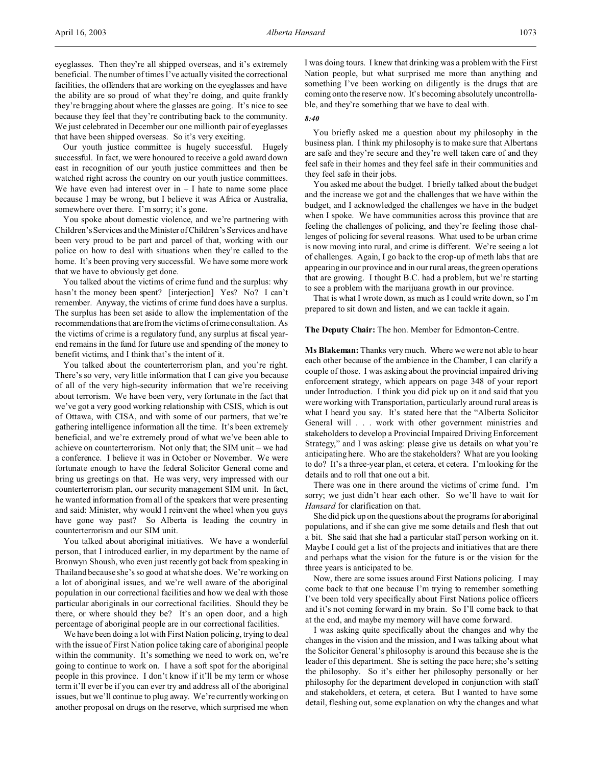eyeglasses. Then they're all shipped overseas, and it's extremely beneficial. The number of times I've actually visited the correctional facilities, the offenders that are working on the eyeglasses and have the ability are so proud of what they're doing, and quite frankly they're bragging about where the glasses are going. It's nice to see because they feel that they're contributing back to the community. We just celebrated in December our one millionth pair of eyeglasses that have been shipped overseas. So it's very exciting.

Our youth justice committee is hugely successful. Hugely successful. In fact, we were honoured to receive a gold award down east in recognition of our youth justice committees and then be watched right across the country on our youth justice committees. We have even had interest over  $in - I$  hate to name some place because I may be wrong, but I believe it was Africa or Australia, somewhere over there. I'm sorry; it's gone.

You spoke about domestic violence, and we're partnering with Children's Services and the Minister of Children's Services and have been very proud to be part and parcel of that, working with our police on how to deal with situations when they're called to the home. It's been proving very successful. We have some more work that we have to obviously get done.

You talked about the victims of crime fund and the surplus: why hasn't the money been spent? [interjection] Yes? No? I can't remember. Anyway, the victims of crime fund does have a surplus. The surplus has been set aside to allow the implementation of the recommendations that are from the victims of crime consultation. As the victims of crime is a regulatory fund, any surplus at fiscal yearend remains in the fund for future use and spending of the money to benefit victims, and I think that's the intent of it.

You talked about the counterterrorism plan, and you're right. There's so very, very little information that I can give you because of all of the very high-security information that we're receiving about terrorism. We have been very, very fortunate in the fact that we've got a very good working relationship with CSIS, which is out of Ottawa, with CISA, and with some of our partners, that we're gathering intelligence information all the time. It's been extremely beneficial, and we're extremely proud of what we've been able to achieve on counterterrorism. Not only that; the SIM unit – we had a conference. I believe it was in October or November. We were fortunate enough to have the federal Solicitor General come and bring us greetings on that. He was very, very impressed with our counterterrorism plan, our security management SIM unit. In fact, he wanted information from all of the speakers that were presenting and said: Minister, why would I reinvent the wheel when you guys have gone way past? So Alberta is leading the country in counterterrorism and our SIM unit.

You talked about aboriginal initiatives. We have a wonderful person, that I introduced earlier, in my department by the name of Bronwyn Shoush, who even just recently got back from speaking in Thailand because she's so good at what she does. We're working on a lot of aboriginal issues, and we're well aware of the aboriginal population in our correctional facilities and how we deal with those particular aboriginals in our correctional facilities. Should they be there, or where should they be? It's an open door, and a high percentage of aboriginal people are in our correctional facilities.

We have been doing a lot with First Nation policing, trying to deal with the issue of First Nation police taking care of aboriginal people within the community. It's something we need to work on, we're going to continue to work on. I have a soft spot for the aboriginal people in this province. I don't know if it'll be my term or whose term it'll ever be if you can ever try and address all of the aboriginal issues, but we'll continue to plug away. We're currently working on another proposal on drugs on the reserve, which surprised me when I was doing tours. I knew that drinking was a problem with the First Nation people, but what surprised me more than anything and something I've been working on diligently is the drugs that are coming onto the reserve now. It's becoming absolutely uncontrollable, and they're something that we have to deal with.

## *8:40*

You briefly asked me a question about my philosophy in the business plan. I think my philosophy is to make sure that Albertans are safe and they're secure and they're well taken care of and they feel safe in their homes and they feel safe in their communities and they feel safe in their jobs.

You asked me about the budget. I briefly talked about the budget and the increase we got and the challenges that we have within the budget, and I acknowledged the challenges we have in the budget when I spoke. We have communities across this province that are feeling the challenges of policing, and they're feeling those challenges of policing for several reasons. What used to be urban crime is now moving into rural, and crime is different. We're seeing a lot of challenges. Again, I go back to the crop-up of meth labs that are appearing in our province and in our rural areas, the green operations that are growing. I thought B.C. had a problem, but we're starting to see a problem with the marijuana growth in our province.

That is what I wrote down, as much as I could write down, so I'm prepared to sit down and listen, and we can tackle it again.

## **The Deputy Chair:** The hon. Member for Edmonton-Centre.

**Ms Blakeman:** Thanks very much. Where we were not able to hear each other because of the ambience in the Chamber, I can clarify a couple of those. I was asking about the provincial impaired driving enforcement strategy, which appears on page 348 of your report under Introduction. I think you did pick up on it and said that you were working with Transportation, particularly around rural areas is what I heard you say. It's stated here that the "Alberta Solicitor General will . . . work with other government ministries and stakeholders to develop a Provincial Impaired Driving Enforcement Strategy," and I was asking: please give us details on what you're anticipating here. Who are the stakeholders? What are you looking to do? It's a three-year plan, et cetera, et cetera. I'm looking for the details and to roll that one out a bit.

There was one in there around the victims of crime fund. I'm sorry; we just didn't hear each other. So we'll have to wait for *Hansard* for clarification on that.

She did pick up on the questions about the programs for aboriginal populations, and if she can give me some details and flesh that out a bit. She said that she had a particular staff person working on it. Maybe I could get a list of the projects and initiatives that are there and perhaps what the vision for the future is or the vision for the three years is anticipated to be.

Now, there are some issues around First Nations policing. I may come back to that one because I'm trying to remember something I've been told very specifically about First Nations police officers and it's not coming forward in my brain. So I'll come back to that at the end, and maybe my memory will have come forward.

I was asking quite specifically about the changes and why the changes in the vision and the mission, and I was talking about what the Solicitor General's philosophy is around this because she is the leader of this department. She is setting the pace here; she's setting the philosophy. So it's either her philosophy personally or her philosophy for the department developed in conjunction with staff and stakeholders, et cetera, et cetera. But I wanted to have some detail, fleshing out, some explanation on why the changes and what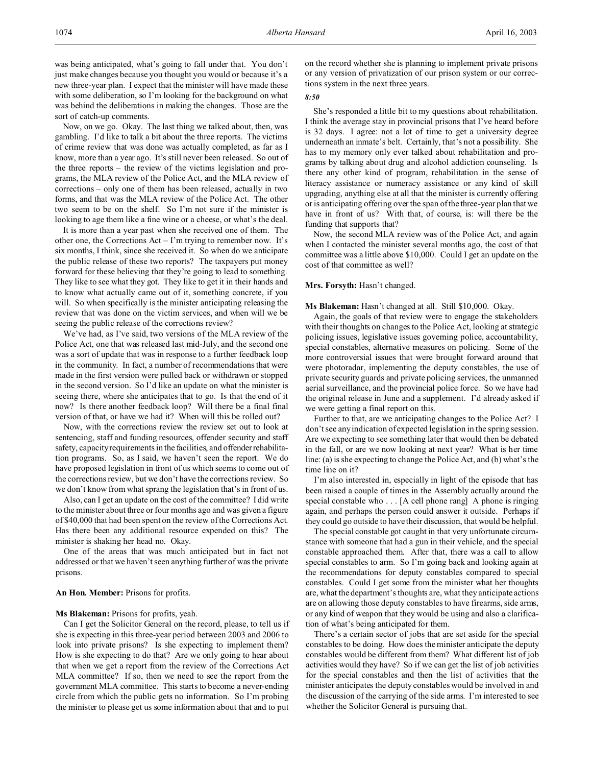was being anticipated, what's going to fall under that. You don't just make changes because you thought you would or because it's a new three-year plan. I expect that the minister will have made these with some deliberation, so I'm looking for the background on what was behind the deliberations in making the changes. Those are the sort of catch-up comments.

Now, on we go. Okay. The last thing we talked about, then, was gambling. I'd like to talk a bit about the three reports. The victims of crime review that was done was actually completed, as far as I know, more than a year ago. It's still never been released. So out of the three reports – the review of the victims legislation and programs, the MLA review of the Police Act, and the MLA review of corrections – only one of them has been released, actually in two forms, and that was the MLA review of the Police Act. The other two seem to be on the shelf. So I'm not sure if the minister is looking to age them like a fine wine or a cheese, or what's the deal.

It is more than a year past when she received one of them. The other one, the Corrections Act – I'm trying to remember now. It's six months, I think, since she received it. So when do we anticipate the public release of these two reports? The taxpayers put money forward for these believing that they're going to lead to something. They like to see what they got. They like to get it in their hands and to know what actually came out of it, something concrete, if you will. So when specifically is the minister anticipating releasing the review that was done on the victim services, and when will we be seeing the public release of the corrections review?

We've had, as I've said, two versions of the MLA review of the Police Act, one that was released last mid-July, and the second one was a sort of update that was in response to a further feedback loop in the community. In fact, a number of recommendations that were made in the first version were pulled back or withdrawn or stopped in the second version. So I'd like an update on what the minister is seeing there, where she anticipates that to go. Is that the end of it now? Is there another feedback loop? Will there be a final final version of that, or have we had it? When will this be rolled out?

Now, with the corrections review the review set out to look at sentencing, staff and funding resources, offender security and staff safety, capacity requirements in the facilities, and offenderrehabilitation programs. So, as I said, we haven't seen the report. We do have proposed legislation in front of us which seems to come out of the corrections review, but we don't have the corrections review. So we don't know from what sprang the legislation that's in front of us.

Also, can I get an update on the cost of the committee? I did write to the minister about three or four months ago and was given a figure of \$40,000 that had been spent on the review of the Corrections Act. Has there been any additional resource expended on this? The minister is shaking her head no. Okay.

One of the areas that was much anticipated but in fact not addressed or that we haven't seen anything further of was the private prisons.

## **An Hon. Member:** Prisons for profits.

#### **Ms Blakeman:** Prisons for profits, yeah.

Can I get the Solicitor General on the record, please, to tell us if she is expecting in this three-year period between 2003 and 2006 to look into private prisons? Is she expecting to implement them? How is she expecting to do that? Are we only going to hear about that when we get a report from the review of the Corrections Act MLA committee? If so, then we need to see the report from the government MLA committee. This starts to become a never-ending circle from which the public gets no information. So I'm probing the minister to please get us some information about that and to put

on the record whether she is planning to implement private prisons or any version of privatization of our prison system or our corrections system in the next three years.

## *8:50*

She's responded a little bit to my questions about rehabilitation. I think the average stay in provincial prisons that I've heard before is 32 days. I agree: not a lot of time to get a university degree underneath an inmate's belt. Certainly, that's not a possibility. She has to my memory only ever talked about rehabilitation and programs by talking about drug and alcohol addiction counseling. Is there any other kind of program, rehabilitation in the sense of literacy assistance or numeracy assistance or any kind of skill upgrading, anything else at all that the minister is currently offering or is anticipating offering over the span of the three-year plan that we have in front of us? With that, of course, is: will there be the funding that supports that?

Now, the second MLA review was of the Police Act, and again when I contacted the minister several months ago, the cost of that committee was a little above \$10,000. Could I get an update on the cost of that committee as well?

## Mrs. Forsyth: Hasn't changed.

**Ms Blakeman:** Hasn't changed at all. Still \$10,000. Okay.

Again, the goals of that review were to engage the stakeholders with their thoughts on changes to the Police Act, looking at strategic policing issues, legislative issues governing police, accountability, special constables, alternative measures on policing. Some of the more controversial issues that were brought forward around that were photoradar, implementing the deputy constables, the use of private security guards and private policing services, the unmanned aerial surveillance, and the provincial police force. So we have had the original release in June and a supplement. I'd already asked if we were getting a final report on this.

Further to that, are we anticipating changes to the Police Act? I don't see any indication of expected legislation in the spring session. Are we expecting to see something later that would then be debated in the fall, or are we now looking at next year? What is her time line: (a) is she expecting to change the Police Act, and (b) what's the time line on it?

I'm also interested in, especially in light of the episode that has been raised a couple of times in the Assembly actually around the special constable who . . . [A cell phone rang] A phone is ringing again, and perhaps the person could answer it outside. Perhaps if they could go outside to have their discussion, that would be helpful.

The special constable got caught in that very unfortunate circumstance with someone that had a gun in their vehicle, and the special constable approached them. After that, there was a call to allow special constables to arm. So I'm going back and looking again at the recommendations for deputy constables compared to special constables. Could I get some from the minister what her thoughts are, what the department's thoughts are, what they anticipate actions are on allowing those deputy constables to have firearms, side arms, or any kind of weapon that they would be using and also a clarification of what's being anticipated for them.

There's a certain sector of jobs that are set aside for the special constables to be doing. How does the minister anticipate the deputy constables would be different from them? What different list of job activities would they have? So if we can get the list of job activities for the special constables and then the list of activities that the minister anticipates the deputy constables would be involved in and the discussion of the carrying of the side arms. I'm interested to see whether the Solicitor General is pursuing that.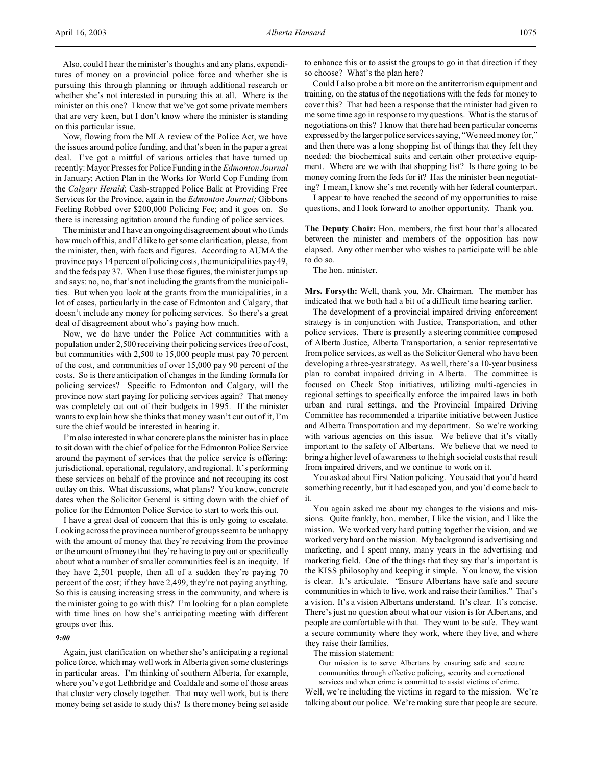Also, could I hear the minister's thoughts and any plans, expenditures of money on a provincial police force and whether she is pursuing this through planning or through additional research or whether she's not interested in pursuing this at all. Where is the minister on this one? I know that we've got some private members that are very keen, but I don't know where the minister is standing on this particular issue.

Now, flowing from the MLA review of the Police Act, we have the issues around police funding, and that's been in the paper a great deal. I've got a mittful of various articles that have turned up recently: Mayor Presses for Police Funding in the *Edmonton Journal* in January; Action Plan in the Works for World Cop Funding from the *Calgary Herald*; Cash-strapped Police Balk at Providing Free Services for the Province, again in the *Edmonton Journal;* Gibbons Feeling Robbed over \$200,000 Policing Fee; and it goes on. So there is increasing agitation around the funding of police services.

The minister and I have an ongoing disagreement about who funds how much of this, and I'd like to get some clarification, please, from the minister, then, with facts and figures. According to AUMA the province pays 14 percent of policing costs, the municipalities pay 49, and the feds pay 37. When I use those figures, the minister jumps up and says: no, no, that's not including the grants from the municipalities. But when you look at the grants from the municipalities, in a lot of cases, particularly in the case of Edmonton and Calgary, that doesn't include any money for policing services. So there's a great deal of disagreement about who's paying how much.

Now, we do have under the Police Act communities with a population under 2,500 receiving their policing services free of cost, but communities with 2,500 to 15,000 people must pay 70 percent of the cost, and communities of over 15,000 pay 90 percent of the costs. So is there anticipation of changes in the funding formula for policing services? Specific to Edmonton and Calgary, will the province now start paying for policing services again? That money was completely cut out of their budgets in 1995. If the minister wants to explain how she thinks that money wasn't cut out of it, I'm sure the chief would be interested in hearing it.

I'm also interested in what concrete plans the minister has in place to sit down with the chief of police for the Edmonton Police Service around the payment of services that the police service is offering: jurisdictional, operational, regulatory, and regional. It's performing these services on behalf of the province and not recouping its cost outlay on this. What discussions, what plans? You know, concrete dates when the Solicitor General is sitting down with the chief of police for the Edmonton Police Service to start to work this out.

I have a great deal of concern that this is only going to escalate. Looking across the province a number of groups seem to be unhappy with the amount of money that they're receiving from the province or the amount of money that they're having to pay out or specifically about what a number of smaller communities feel is an inequity. If they have 2,501 people, then all of a sudden they're paying 70 percent of the cost; if they have 2,499, they're not paying anything. So this is causing increasing stress in the community, and where is the minister going to go with this? I'm looking for a plan complete with time lines on how she's anticipating meeting with different groups over this.

## *9:00*

Again, just clarification on whether she's anticipating a regional police force, which may well work in Alberta given some clusterings in particular areas. I'm thinking of southern Alberta, for example, where you've got Lethbridge and Coaldale and some of those areas that cluster very closely together. That may well work, but is there money being set aside to study this? Is there money being set aside to enhance this or to assist the groups to go in that direction if they so choose? What's the plan here?

Could I also probe a bit more on the antiterrorism equipment and training, on the status of the negotiations with the feds for money to cover this? That had been a response that the minister had given to me some time ago in response to my questions. What is the status of negotiations on this? I know that there had been particular concerns expressed by the larger police services saying, "We need money for," and then there was a long shopping list of things that they felt they needed: the biochemical suits and certain other protective equipment. Where are we with that shopping list? Is there going to be money coming from the feds for it? Has the minister been negotiating? I mean, I know she's met recently with her federal counterpart.

I appear to have reached the second of my opportunities to raise questions, and I look forward to another opportunity. Thank you.

**The Deputy Chair:** Hon. members, the first hour that's allocated between the minister and members of the opposition has now elapsed. Any other member who wishes to participate will be able to do so.

The hon. minister.

**Mrs. Forsyth:** Well, thank you, Mr. Chairman. The member has indicated that we both had a bit of a difficult time hearing earlier.

The development of a provincial impaired driving enforcement strategy is in conjunction with Justice, Transportation, and other police services. There is presently a steering committee composed of Alberta Justice, Alberta Transportation, a senior representative from police services, as well as the Solicitor General who have been developing a three-year strategy. As well, there's a 10-year business plan to combat impaired driving in Alberta. The committee is focused on Check Stop initiatives, utilizing multi-agencies in regional settings to specifically enforce the impaired laws in both urban and rural settings, and the Provincial Impaired Driving Committee has recommended a tripartite initiative between Justice and Alberta Transportation and my department. So we're working with various agencies on this issue. We believe that it's vitally important to the safety of Albertans. We believe that we need to bring a higher level of awareness to the high societal costs that result from impaired drivers, and we continue to work on it.

You asked about First Nation policing. You said that you'd heard something recently, but it had escaped you, and you'd come back to it.

You again asked me about my changes to the visions and missions. Quite frankly, hon. member, I like the vision, and I like the mission. We worked very hard putting together the vision, and we worked very hard on the mission. My background is advertising and marketing, and I spent many, many years in the advertising and marketing field. One of the things that they say that's important is the KISS philosophy and keeping it simple. You know, the vision is clear. It's articulate. "Ensure Albertans have safe and secure communities in which to live, work and raise their families." That's a vision. It's a vision Albertans understand. It's clear. It's concise. There's just no question about what our vision is for Albertans, and people are comfortable with that. They want to be safe. They want a secure community where they work, where they live, and where they raise their families.

The mission statement:

Our mission is to serve Albertans by ensuring safe and secure communities through effective policing, security and correctional services and when crime is committed to assist victims of crime.

Well, we're including the victims in regard to the mission. We're talking about our police. We're making sure that people are secure.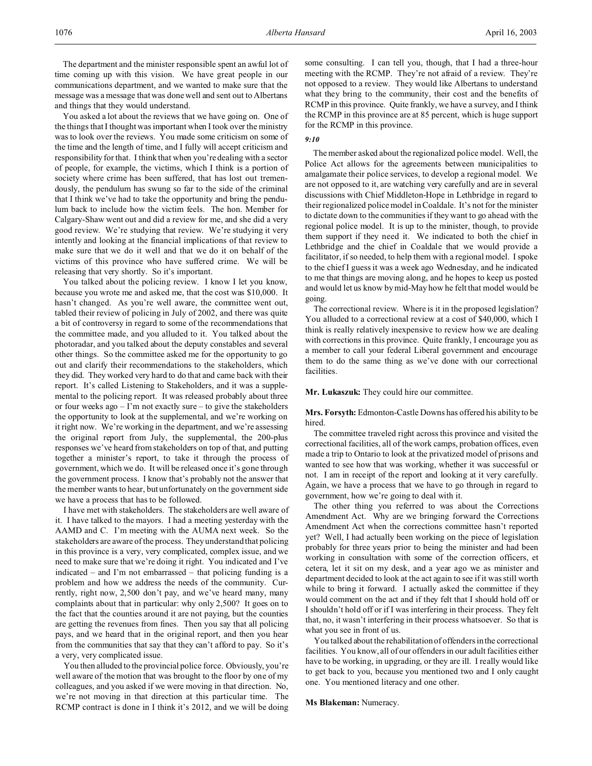The department and the minister responsible spent an awful lot of time coming up with this vision. We have great people in our communications department, and we wanted to make sure that the message was a message that was done well and sent out to Albertans and things that they would understand.

You asked a lot about the reviews that we have going on. One of the things that I thought was important when I took over the ministry was to look over the reviews. You made some criticism on some of the time and the length of time, and I fully will accept criticism and responsibility for that. I think that when you're dealing with a sector of people, for example, the victims, which I think is a portion of society where crime has been suffered, that has lost out tremendously, the pendulum has swung so far to the side of the criminal that I think we've had to take the opportunity and bring the pendulum back to include how the victim feels. The hon. Member for Calgary-Shaw went out and did a review for me, and she did a very good review. We're studying that review. We're studying it very intently and looking at the financial implications of that review to make sure that we do it well and that we do it on behalf of the victims of this province who have suffered crime. We will be releasing that very shortly. So it's important.

You talked about the policing review. I know I let you know, because you wrote me and asked me, that the cost was \$10,000. It hasn't changed. As you're well aware, the committee went out, tabled their review of policing in July of 2002, and there was quite a bit of controversy in regard to some of the recommendations that the committee made, and you alluded to it. You talked about the photoradar, and you talked about the deputy constables and several other things. So the committee asked me for the opportunity to go out and clarify their recommendations to the stakeholders, which they did. They worked very hard to do that and came back with their report. It's called Listening to Stakeholders, and it was a supplemental to the policing report. It was released probably about three or four weeks ago – I'm not exactly sure – to give the stakeholders the opportunity to look at the supplemental, and we're working on it right now. We're working in the department, and we're assessing the original report from July, the supplemental, the 200-plus responses we've heard from stakeholders on top of that, and putting together a minister's report, to take it through the process of government, which we do. It will be released once it's gone through the government process. I know that's probably not the answer that the member wants to hear, but unfortunately on the government side we have a process that has to be followed.

I have met with stakeholders. The stakeholders are well aware of it. I have talked to the mayors. I had a meeting yesterday with the AAMD and C. I'm meeting with the AUMA next week. So the stakeholders are aware of the process. They understand that policing in this province is a very, very complicated, complex issue, and we need to make sure that we're doing it right. You indicated and I've indicated – and I'm not embarrassed – that policing funding is a problem and how we address the needs of the community. Currently, right now, 2,500 don't pay, and we've heard many, many complaints about that in particular: why only 2,500? It goes on to the fact that the counties around it are not paying, but the counties are getting the revenues from fines. Then you say that all policing pays, and we heard that in the original report, and then you hear from the communities that say that they can't afford to pay. So it's a very, very complicated issue.

You then alluded to the provincial police force. Obviously, you're well aware of the motion that was brought to the floor by one of my colleagues, and you asked if we were moving in that direction. No, we're not moving in that direction at this particular time. The RCMP contract is done in I think it's 2012, and we will be doing

some consulting. I can tell you, though, that I had a three-hour meeting with the RCMP. They're not afraid of a review. They're not opposed to a review. They would like Albertans to understand what they bring to the community, their cost and the benefits of RCMP in this province. Quite frankly, we have a survey, and I think the RCMP in this province are at 85 percent, which is huge support for the RCMP in this province.

### *9:10*

The member asked about the regionalized police model. Well, the Police Act allows for the agreements between municipalities to amalgamate their police services, to develop a regional model. We are not opposed to it, are watching very carefully and are in several discussions with Chief Middleton-Hope in Lethbridge in regard to their regionalized police model in Coaldale. It's not for the minister to dictate down to the communities if they want to go ahead with the regional police model. It is up to the minister, though, to provide them support if they need it. We indicated to both the chief in Lethbridge and the chief in Coaldale that we would provide a facilitator, if so needed, to help them with a regional model. I spoke to the chief I guess it was a week ago Wednesday, and he indicated to me that things are moving along, and he hopes to keep us posted and would let us know by mid-May how he felt that model would be going.

The correctional review. Where is it in the proposed legislation? You alluded to a correctional review at a cost of \$40,000, which I think is really relatively inexpensive to review how we are dealing with corrections in this province. Quite frankly, I encourage you as a member to call your federal Liberal government and encourage them to do the same thing as we've done with our correctional facilities.

**Mr. Lukaszuk:** They could hire our committee.

**Mrs. Forsyth:** Edmonton-Castle Downs has offered his ability to be hired.

The committee traveled right across this province and visited the correctional facilities, all of the work camps, probation offices, even made a trip to Ontario to look at the privatized model of prisons and wanted to see how that was working, whether it was successful or not. I am in receipt of the report and looking at it very carefully. Again, we have a process that we have to go through in regard to government, how we're going to deal with it.

The other thing you referred to was about the Corrections Amendment Act. Why are we bringing forward the Corrections Amendment Act when the corrections committee hasn't reported yet? Well, I had actually been working on the piece of legislation probably for three years prior to being the minister and had been working in consultation with some of the correction officers, et cetera, let it sit on my desk, and a year ago we as minister and department decided to look at the act again to see if it was still worth while to bring it forward. I actually asked the committee if they would comment on the act and if they felt that I should hold off or I shouldn't hold off or if I was interfering in their process. They felt that, no, it wasn't interfering in their process whatsoever. So that is what you see in front of us.

You talked about the rehabilitation of offenders in the correctional facilities. You know, all of our offenders in our adult facilities either have to be working, in upgrading, or they are ill. I really would like to get back to you, because you mentioned two and I only caught one. You mentioned literacy and one other.

### **Ms Blakeman:** Numeracy.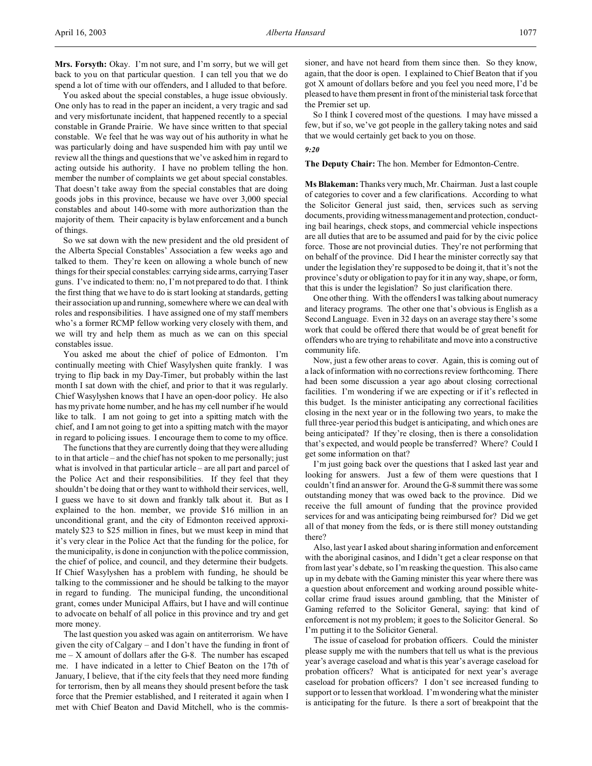**Mrs. Forsyth:** Okay. I'm not sure, and I'm sorry, but we will get back to you on that particular question. I can tell you that we do spend a lot of time with our offenders, and I alluded to that before.

You asked about the special constables, a huge issue obviously. One only has to read in the paper an incident, a very tragic and sad and very misfortunate incident, that happened recently to a special constable in Grande Prairie. We have since written to that special constable. We feel that he was way out of his authority in what he was particularly doing and have suspended him with pay until we review all the things and questions that we've asked him in regard to acting outside his authority. I have no problem telling the hon. member the number of complaints we get about special constables. That doesn't take away from the special constables that are doing goods jobs in this province, because we have over 3,000 special constables and about 140-some with more authorization than the majority of them. Their capacity is bylaw enforcement and a bunch of things.

So we sat down with the new president and the old president of the Alberta Special Constables' Association a few weeks ago and talked to them. They're keen on allowing a whole bunch of new things for their special constables: carrying side arms, carrying Taser guns. I've indicated to them: no, I'm not prepared to do that. I think the first thing that we have to do is start looking at standards, getting their association up and running, somewhere where we can deal with roles and responsibilities. I have assigned one of my staff members who's a former RCMP fellow working very closely with them, and we will try and help them as much as we can on this special constables issue.

You asked me about the chief of police of Edmonton. I'm continually meeting with Chief Wasylyshen quite frankly. I was trying to flip back in my Day-Timer, but probably within the last month I sat down with the chief, and prior to that it was regularly. Chief Wasylyshen knows that I have an open-door policy. He also has my private home number, and he has my cell number if he would like to talk. I am not going to get into a spitting match with the chief, and I am not going to get into a spitting match with the mayor in regard to policing issues. I encourage them to come to my office.

The functions that they are currently doing that they were alluding to in that article – and the chief has not spoken to me personally; just what is involved in that particular article – are all part and parcel of the Police Act and their responsibilities. If they feel that they shouldn't be doing that or they want to withhold their services, well, I guess we have to sit down and frankly talk about it. But as I explained to the hon. member, we provide \$16 million in an unconditional grant, and the city of Edmonton received approximately \$23 to \$25 million in fines, but we must keep in mind that it's very clear in the Police Act that the funding for the police, for the municipality, is done in conjunction with the police commission, the chief of police, and council, and they determine their budgets. If Chief Wasylyshen has a problem with funding, he should be talking to the commissioner and he should be talking to the mayor in regard to funding. The municipal funding, the unconditional grant, comes under Municipal Affairs, but I have and will continue to advocate on behalf of all police in this province and try and get more money.

The last question you asked was again on antiterrorism. We have given the city of Calgary – and I don't have the funding in front of  $me - X$  amount of dollars after the G-8. The number has escaped me. I have indicated in a letter to Chief Beaton on the 17th of January, I believe, that if the city feels that they need more funding for terrorism, then by all means they should present before the task force that the Premier established, and I reiterated it again when I met with Chief Beaton and David Mitchell, who is the commis-

sioner, and have not heard from them since then. So they know, again, that the door is open. I explained to Chief Beaton that if you got X amount of dollars before and you feel you need more, I'd be pleased to have them present in front of the ministerial task force that the Premier set up.

So I think I covered most of the questions. I may have missed a few, but if so, we've got people in the gallery taking notes and said that we would certainly get back to you on those.

#### *9:20*

**The Deputy Chair:** The hon. Member for Edmonton-Centre.

**Ms Blakeman:**Thanks very much, Mr. Chairman. Just a last couple of categories to cover and a few clarifications. According to what the Solicitor General just said, then, services such as serving documents, providing witness management and protection, conducting bail hearings, check stops, and commercial vehicle inspections are all duties that are to be assumed and paid for by the civic police force. Those are not provincial duties. They're not performing that on behalf of the province. Did I hear the minister correctly say that under the legislation they're supposed to be doing it, that it's not the province's duty or obligation to pay for it in any way, shape, or form, that this is under the legislation? So just clarification there.

One other thing. With the offenders I was talking about numeracy and literacy programs. The other one that's obvious is English as a Second Language. Even in 32 days on an average stay there's some work that could be offered there that would be of great benefit for offenders who are trying to rehabilitate and move into a constructive community life.

Now, just a few other areas to cover. Again, this is coming out of a lack of information with no corrections review forthcoming. There had been some discussion a year ago about closing correctional facilities. I'm wondering if we are expecting or if it's reflected in this budget. Is the minister anticipating any correctional facilities closing in the next year or in the following two years, to make the full three-year period this budget is anticipating, and which ones are being anticipated? If they're closing, then is there a consolidation that's expected, and would people be transferred? Where? Could I get some information on that?

I'm just going back over the questions that I asked last year and looking for answers. Just a few of them were questions that I couldn't find an answer for. Around the G-8 summit there was some outstanding money that was owed back to the province. Did we receive the full amount of funding that the province provided services for and was anticipating being reimbursed for? Did we get all of that money from the feds, or is there still money outstanding there?

Also, last year I asked about sharing information and enforcement with the aboriginal casinos, and I didn't get a clear response on that from last year's debate, so I'm reasking the question. This also came up in my debate with the Gaming minister this year where there was a question about enforcement and working around possible whitecollar crime fraud issues around gambling, that the Minister of Gaming referred to the Solicitor General, saying: that kind of enforcement is not my problem; it goes to the Solicitor General. So I'm putting it to the Solicitor General.

The issue of caseload for probation officers. Could the minister please supply me with the numbers that tell us what is the previous year's average caseload and what is this year's average caseload for probation officers? What is anticipated for next year's average caseload for probation officers? I don't see increased funding to support or to lessen that workload. I'm wondering what the minister is anticipating for the future. Is there a sort of breakpoint that the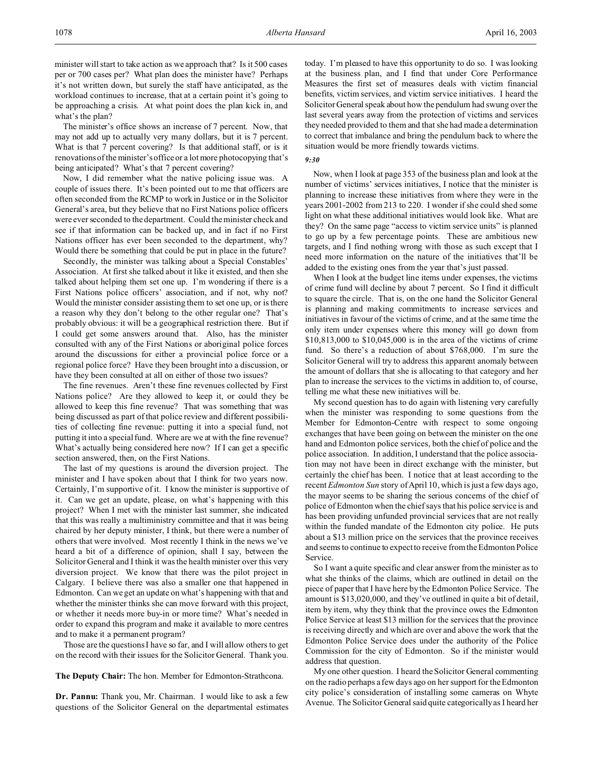minister will start to take action as we approach that? Is it 500 cases per or 700 cases per? What plan does the minister have? Perhaps it's not written down, but surely the staff have anticipated, as the workload continues to increase, that at a certain point it's going to be approaching a crisis. At what point does the plan kick in, and what's the plan?

The minister's office shows an increase of 7 percent. Now, that may not add up to actually very many dollars, but it is 7 percent. What is that 7 percent covering? Is that additional staff, or is it renovations of the minister's office or a lot more photocopying that's being anticipated? What's that 7 percent covering?

Now, I did remember what the native policing issue was. A couple of issues there. It's been pointed out to me that officers are often seconded from the RCMP to work in Justice or in the Solicitor General's area, but they believe that no First Nations police officers were ever seconded to the department. Could the minister check and see if that information can be backed up, and in fact if no First Nations officer has ever been seconded to the department, why? Would there be something that could be put in place in the future?

Secondly, the minister was talking about a Special Constables' Association. At first she talked about it like it existed, and then she talked about helping them set one up. I'm wondering if there is a First Nations police officers' association, and if not, why not? Would the minister consider assisting them to set one up, or is there a reason why they don't belong to the other regular one? That's probably obvious: it will be a geographical restriction there. But if I could get some answers around that. Also, has the minister consulted with any of the First Nations or aboriginal police forces around the discussions for either a provincial police force or a regional police force? Have they been brought into a discussion, or have they been consulted at all on either of those two issues?

The fine revenues. Aren't these fine revenues collected by First Nations police? Are they allowed to keep it, or could they be allowed to keep this fine revenue? That was something that was being discussed as part of that police review and different possibilities of collecting fine revenue: putting it into a special fund, not putting it into a special fund. Where are we at with the fine revenue? What's actually being considered here now? If I can get a specific section answered, then, on the First Nations.

The last of my questions is around the diversion project. The minister and I have spoken about that I think for two years now. Certainly, I'm supportive of it. I know the minister is supportive of it. Can we get an update, please, on what's happening with this project? When I met with the minister last summer, she indicated that this was really a multiministry committee and that it was being chaired by her deputy minister, I think, but there were a number of others that were involved. Most recently I think in the news we've heard a bit of a difference of opinion, shall I say, between the Solicitor General and I think it was the health minister over this very diversion project. We know that there was the pilot project in Calgary. I believe there was also a smaller one that happened in Edmonton. Can we get an update on what's happening with that and whether the minister thinks she can move forward with this project, or whether it needs more buy-in or more time? What's needed in order to expand this program and make it available to more centres and to make it a permanent program?

Those are the questions I have so far, and I will allow others to get on the record with their issues for the Solicitor General. Thank you.

## **The Deputy Chair:** The hon. Member for Edmonton-Strathcona.

**Dr. Pannu:** Thank you, Mr. Chairman. I would like to ask a few questions of the Solicitor General on the departmental estimates today. I'm pleased to have this opportunity to do so. I was looking at the business plan, and I find that under Core Performance Measures the first set of measures deals with victim financial benefits, victim services, and victim service initiatives. I heard the Solicitor General speak about how the pendulum had swung over the last several years away from the protection of victims and services they needed provided to them and that she had made a determination to correct that imbalance and bring the pendulum back to where the situation would be more friendly towards victims.

## *9:30*

Now, when I look at page 353 of the business plan and look at the number of victims' services initiatives, I notice that the minister is planning to increase these initiatives from where they were in the years 2001-2002 from 213 to 220. I wonder if she could shed some light on what these additional initiatives would look like. What are they? On the same page "access to victim service units" is planned to go up by a few percentage points. These are ambitious new targets, and I find nothing wrong with those as such except that I need more information on the nature of the initiatives that'll be added to the existing ones from the year that's just passed.

When I look at the budget line items under expenses, the victims of crime fund will decline by about 7 percent. So I find it difficult to square the circle. That is, on the one hand the Solicitor General is planning and making commitments to increase services and initiatives in favour of the victims of crime, and at the same time the only item under expenses where this money will go down from \$10,813,000 to \$10,045,000 is in the area of the victims of crime fund. So there's a reduction of about \$768,000. I'm sure the Solicitor General will try to address this apparent anomaly between the amount of dollars that she is allocating to that category and her plan to increase the services to the victims in addition to, of course, telling me what these new initiatives will be.

My second question has to do again with listening very carefully when the minister was responding to some questions from the Member for Edmonton-Centre with respect to some ongoing exchanges that have been going on between the minister on the one hand and Edmonton police services, both the chief of police and the police association. In addition, I understand that the police association may not have been in direct exchange with the minister, but certainly the chief has been. I notice that at least according to the recent *Edmonton Sun* story of April 10, which is just a few days ago, the mayor seems to be sharing the serious concerns of the chief of police of Edmonton when the chief says that his police service is and has been providing unfunded provincial services that are not really within the funded mandate of the Edmonton city police. He puts about a \$13 million price on the services that the province receives and seems to continue to expect to receive from the Edmonton Police Service.

So I want a quite specific and clear answer from the minister as to what she thinks of the claims, which are outlined in detail on the piece of paper that I have here by the Edmonton Police Service. The amount is \$13,020,000, and they've outlined in quite a bit of detail, item by item, why they think that the province owes the Edmonton Police Service at least \$13 million for the services that the province is receiving directly and which are over and above the work that the Edmonton Police Service does under the authority of the Police Commission for the city of Edmonton. So if the minister would address that question.

My one other question. I heard the Solicitor General commenting on the radio perhaps a few days ago on her support for the Edmonton city police's consideration of installing some cameras on Whyte Avenue. The Solicitor General said quite categorically as I heard her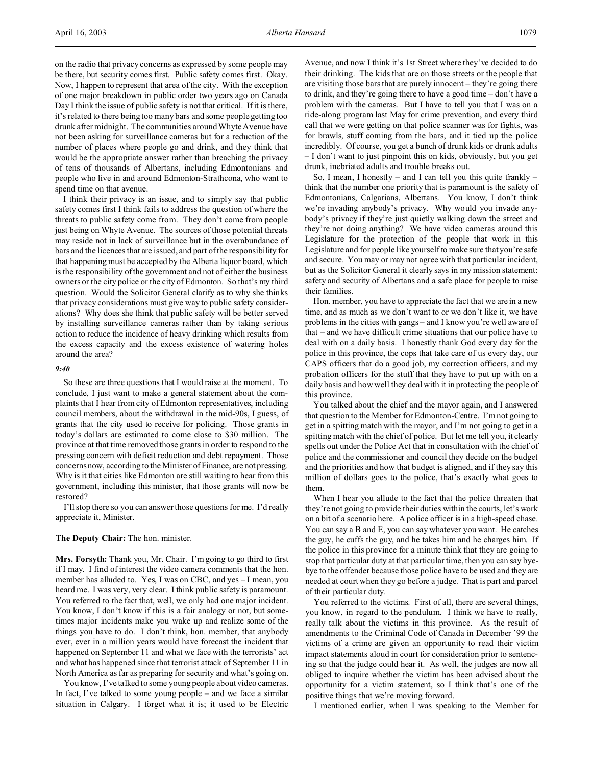on the radio that privacy concerns as expressed by some people may be there, but security comes first. Public safety comes first. Okay. Now, I happen to represent that area of the city. With the exception of one major breakdown in public order two years ago on Canada Day I think the issue of public safety is not that critical. If it is there, it's related to there being too many bars and some people getting too drunk after midnight. The communities around Whyte Avenue have not been asking for surveillance cameras but for a reduction of the number of places where people go and drink, and they think that would be the appropriate answer rather than breaching the privacy of tens of thousands of Albertans, including Edmontonians and people who live in and around Edmonton-Strathcona, who want to

spend time on that avenue. I think their privacy is an issue, and to simply say that public safety comes first I think fails to address the question of where the threats to public safety come from. They don't come from people just being on Whyte Avenue. The sources of those potential threats may reside not in lack of surveillance but in the overabundance of bars and the licences that are issued, and part of the responsibility for that happening must be accepted by the Alberta liquor board, which is the responsibility of the government and not of either the business owners or the city police or the city of Edmonton. So that's my third question. Would the Solicitor General clarify as to why she thinks that privacy considerations must give way to public safety considerations? Why does she think that public safety will be better served by installing surveillance cameras rather than by taking serious action to reduce the incidence of heavy drinking which results from the excess capacity and the excess existence of watering holes around the area?

## *9:40*

So these are three questions that I would raise at the moment. To conclude, I just want to make a general statement about the complaints that I hear from city of Edmonton representatives, including council members, about the withdrawal in the mid-90s, I guess, of grants that the city used to receive for policing. Those grants in today's dollars are estimated to come close to \$30 million. The province at that time removed those grants in order to respond to the pressing concern with deficit reduction and debt repayment. Those concerns now, according to the Minister of Finance, are not pressing. Why is it that cities like Edmonton are still waiting to hear from this government, including this minister, that those grants will now be restored?

I'll stop there so you can answer those questions for me. I'd really appreciate it, Minister.

### **The Deputy Chair:** The hon. minister.

**Mrs. Forsyth:** Thank you, Mr. Chair. I'm going to go third to first if I may. I find of interest the video camera comments that the hon. member has alluded to. Yes, I was on CBC, and yes – I mean, you heard me. I was very, very clear. I think public safety is paramount. You referred to the fact that, well, we only had one major incident. You know, I don't know if this is a fair analogy or not, but sometimes major incidents make you wake up and realize some of the things you have to do. I don't think, hon. member, that anybody ever, ever in a million years would have forecast the incident that happened on September 11 and what we face with the terrorists' act and what has happened since that terrorist attack of September 11 in North America as far as preparing for security and what's going on.

You know, I've talked to some young people about video cameras. In fact, I've talked to some young people – and we face a similar situation in Calgary. I forget what it is; it used to be Electric Avenue, and now I think it's 1st Street where they've decided to do their drinking. The kids that are on those streets or the people that are visiting those bars that are purely innocent – they're going there to drink, and they're going there to have a good time – don't have a problem with the cameras. But I have to tell you that I was on a ride-along program last May for crime prevention, and every third call that we were getting on that police scanner was for fights, was for brawls, stuff coming from the bars, and it tied up the police incredibly. Of course, you get a bunch of drunk kids or drunk adults – I don't want to just pinpoint this on kids, obviously, but you get drunk, inebriated adults and trouble breaks out.

So, I mean, I honestly – and I can tell you this quite frankly – think that the number one priority that is paramount is the safety of Edmontonians, Calgarians, Albertans. You know, I don't think we're invading anybody's privacy. Why would you invade anybody's privacy if they're just quietly walking down the street and they're not doing anything? We have video cameras around this Legislature for the protection of the people that work in this Legislature and for people like yourself to make sure that you're safe and secure. You may or may not agree with that particular incident, but as the Solicitor General it clearly says in my mission statement: safety and security of Albertans and a safe place for people to raise their families.

Hon. member, you have to appreciate the fact that we are in a new time, and as much as we don't want to or we don't like it, we have problems in the cities with gangs – and I know you're well aware of that – and we have difficult crime situations that our police have to deal with on a daily basis. I honestly thank God every day for the police in this province, the cops that take care of us every day, our CAPS officers that do a good job, my correction officers, and my probation officers for the stuff that they have to put up with on a daily basis and how well they deal with it in protecting the people of this province.

You talked about the chief and the mayor again, and I answered that question to the Member for Edmonton-Centre. I'm not going to get in a spitting match with the mayor, and I'm not going to get in a spitting match with the chief of police. But let me tell you, it clearly spells out under the Police Act that in consultation with the chief of police and the commissioner and council they decide on the budget and the priorities and how that budget is aligned, and if they say this million of dollars goes to the police, that's exactly what goes to them.

When I hear you allude to the fact that the police threaten that they're not going to provide their duties within the courts, let's work on a bit of a scenario here. A police officer is in a high-speed chase. You can say a B and E, you can say whatever you want. He catches the guy, he cuffs the guy, and he takes him and he charges him. If the police in this province for a minute think that they are going to stop that particular duty at that particular time, then you can say byebye to the offender because those police have to be used and they are needed at court when they go before a judge. That is part and parcel of their particular duty.

You referred to the victims. First of all, there are several things, you know, in regard to the pendulum. I think we have to really, really talk about the victims in this province. As the result of amendments to the Criminal Code of Canada in December '99 the victims of a crime are given an opportunity to read their victim impact statements aloud in court for consideration prior to sentencing so that the judge could hear it. As well, the judges are now all obliged to inquire whether the victim has been advised about the opportunity for a victim statement, so I think that's one of the positive things that we're moving forward.

I mentioned earlier, when I was speaking to the Member for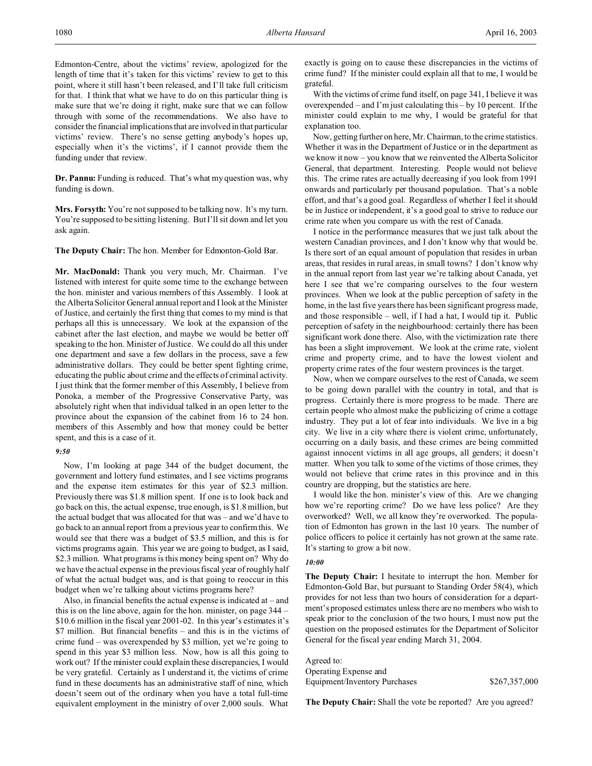Edmonton-Centre, about the victims' review, apologized for the length of time that it's taken for this victims' review to get to this point, where it still hasn't been released, and I'll take full criticism for that. I think that what we have to do on this particular thing is make sure that we're doing it right, make sure that we can follow through with some of the recommendations. We also have to consider the financial implications that are involved in that particular victims' review. There's no sense getting anybody's hopes up, especially when it's the victims', if I cannot provide them the funding under that review.

**Dr. Pannu:** Funding is reduced. That's what my question was, why funding is down.

**Mrs. Forsyth:** You're not supposed to be talking now. It's my turn. You're supposed to be sitting listening. But I'll sit down and let you ask again.

**The Deputy Chair:** The hon. Member for Edmonton-Gold Bar.

**Mr. MacDonald:** Thank you very much, Mr. Chairman. I've listened with interest for quite some time to the exchange between the hon. minister and various members of this Assembly. I look at the Alberta Solicitor General annual report and I look at the Minister of Justice, and certainly the first thing that comes to my mind is that perhaps all this is unnecessary. We look at the expansion of the cabinet after the last election, and maybe we would be better off speaking to the hon. Minister of Justice. We could do all this under one department and save a few dollars in the process, save a few administrative dollars. They could be better spent fighting crime, educating the public about crime and the effects of criminal activity. I just think that the former member of this Assembly, I believe from Ponoka, a member of the Progressive Conservative Party, was absolutely right when that individual talked in an open letter to the province about the expansion of the cabinet from 16 to 24 hon. members of this Assembly and how that money could be better spent, and this is a case of it.

### *9:50*

Now, I'm looking at page 344 of the budget document, the government and lottery fund estimates, and I see victims programs and the expense item estimates for this year of \$2.3 million. Previously there was \$1.8 million spent. If one is to look back and go back on this, the actual expense, true enough, is \$1.8 million, but the actual budget that was allocated for that was – and we'd have to go back to an annual report from a previous year to confirm this. We would see that there was a budget of \$3.5 million, and this is for victims programs again. This year we are going to budget, as I said, \$2.3 million. What programs is this money being spent on? Why do we have the actual expense in the previous fiscal year of roughly half of what the actual budget was, and is that going to reoccur in this budget when we're talking about victims programs here?

Also, in financial benefits the actual expense is indicated at – and this is on the line above, again for the hon. minister, on page 344 – \$10.6 million in the fiscal year 2001-02. In this year's estimates it's \$7 million. But financial benefits – and this is in the victims of crime fund – was overexpended by \$3 million, yet we're going to spend in this year \$3 million less. Now, how is all this going to work out? If the minister could explain these discrepancies, I would be very grateful. Certainly as I understand it, the victims of crime fund in these documents has an administrative staff of nine, which doesn't seem out of the ordinary when you have a total full-time equivalent employment in the ministry of over 2,000 souls. What exactly is going on to cause these discrepancies in the victims of crime fund? If the minister could explain all that to me, I would be grateful.

With the victims of crime fund itself, on page 341, I believe it was overexpended – and I'm just calculating this – by 10 percent. If the minister could explain to me why, I would be grateful for that explanation too.

Now, getting further on here, Mr. Chairman, to the crime statistics. Whether it was in the Department of Justice or in the department as we know it now – you know that we reinvented the Alberta Solicitor General, that department. Interesting. People would not believe this. The crime rates are actually decreasing if you look from 1991 onwards and particularly per thousand population. That's a noble effort, and that's a good goal. Regardless of whether I feel it should be in Justice or independent, it's a good goal to strive to reduce our crime rate when you compare us with the rest of Canada.

I notice in the performance measures that we just talk about the western Canadian provinces, and I don't know why that would be. Is there sort of an equal amount of population that resides in urban areas, that resides in rural areas, in small towns? I don't know why in the annual report from last year we're talking about Canada, yet here I see that we're comparing ourselves to the four western provinces. When we look at the public perception of safety in the home, in the last five years there has been significant progress made, and those responsible – well, if I had a hat, I would tip it. Public perception of safety in the neighbourhood: certainly there has been significant work done there. Also, with the victimization rate there has been a slight improvement. We look at the crime rate, violent crime and property crime, and to have the lowest violent and property crime rates of the four western provinces is the target.

Now, when we compare ourselves to the rest of Canada, we seem to be going down parallel with the country in total, and that is progress. Certainly there is more progress to be made. There are certain people who almost make the publicizing of crime a cottage industry. They put a lot of fear into individuals. We live in a big city. We live in a city where there is violent crime, unfortunately, occurring on a daily basis, and these crimes are being committed against innocent victims in all age groups, all genders; it doesn't matter. When you talk to some of the victims of those crimes, they would not believe that crime rates in this province and in this country are dropping, but the statistics are here.

I would like the hon. minister's view of this. Are we changing how we're reporting crime? Do we have less police? Are they overworked? Well, we all know they're overworked. The population of Edmonton has grown in the last 10 years. The number of police officers to police it certainly has not grown at the same rate. It's starting to grow a bit now.

### *10:00*

**The Deputy Chair:** I hesitate to interrupt the hon. Member for Edmonton-Gold Bar, but pursuant to Standing Order 58(4), which provides for not less than two hours of consideration for a department's proposed estimates unless there are no members who wish to speak prior to the conclusion of the two hours, I must now put the question on the proposed estimates for the Department of Solicitor General for the fiscal year ending March 31, 2004.

Agreed to: Operating Expense and Equipment/Inventory Purchases \$267,357,000

**The Deputy Chair:** Shall the vote be reported? Are you agreed?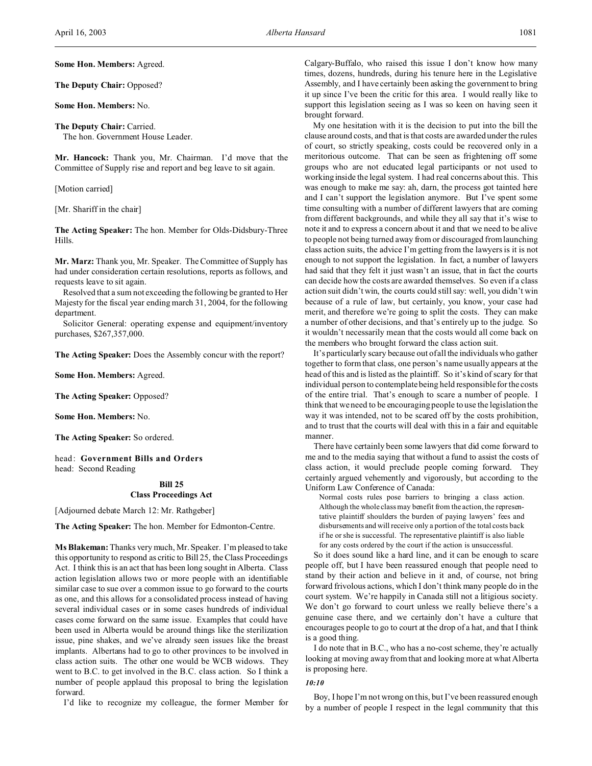**Some Hon. Members:** Agreed.

**The Deputy Chair:** Opposed?

**Some Hon. Members:** No.

**The Deputy Chair:** Carried. The hon. Government House Leader.

**Mr. Hancock:** Thank you, Mr. Chairman. I'd move that the Committee of Supply rise and report and beg leave to sit again.

[Motion carried]

[Mr. Shariff in the chair]

**The Acting Speaker:** The hon. Member for Olds-Didsbury-Three Hills.

**Mr. Marz:** Thank you, Mr. Speaker. The Committee of Supply has had under consideration certain resolutions, reports as follows, and requests leave to sit again.

Resolved that a sum not exceeding the following be granted to Her Majesty for the fiscal year ending march 31, 2004, for the following department.

Solicitor General: operating expense and equipment/inventory purchases, \$267,357,000.

**The Acting Speaker:** Does the Assembly concur with the report?

**Some Hon. Members:** Agreed.

**The Acting Speaker:** Opposed?

**Some Hon. Members:** No.

**The Acting Speaker:** So ordered.

head: **Government Bills and Orders** head: Second Reading

# **Bill 25 Class Proceedings Act**

[Adjourned debate March 12: Mr. Rathgeber]

**The Acting Speaker:** The hon. Member for Edmonton-Centre.

**Ms Blakeman:** Thanks very much, Mr. Speaker. I'm pleased to take this opportunity to respond as critic to Bill 25, the Class Proceedings Act. I think this is an act that has been long sought in Alberta. Class action legislation allows two or more people with an identifiable similar case to sue over a common issue to go forward to the courts as one, and this allows for a consolidated process instead of having several individual cases or in some cases hundreds of individual cases come forward on the same issue. Examples that could have been used in Alberta would be around things like the sterilization issue, pine shakes, and we've already seen issues like the breast implants. Albertans had to go to other provinces to be involved in class action suits. The other one would be WCB widows. They went to B.C. to get involved in the B.C. class action. So I think a number of people applaud this proposal to bring the legislation forward.

I'd like to recognize my colleague, the former Member for

Calgary-Buffalo, who raised this issue I don't know how many times, dozens, hundreds, during his tenure here in the Legislative Assembly, and I have certainly been asking the government to bring it up since I've been the critic for this area. I would really like to support this legislation seeing as I was so keen on having seen it brought forward.

My one hesitation with it is the decision to put into the bill the clause around costs, and that is that costs are awarded under the rules of court, so strictly speaking, costs could be recovered only in a meritorious outcome. That can be seen as frightening off some groups who are not educated legal participants or not used to working inside the legal system. I had real concerns about this. This was enough to make me say: ah, darn, the process got tainted here and I can't support the legislation anymore. But I've spent some time consulting with a number of different lawyers that are coming from different backgrounds, and while they all say that it's wise to note it and to express a concern about it and that we need to be alive to people not being turned away from or discouraged from launching class action suits, the advice I'm getting from the lawyers is it is not enough to not support the legislation. In fact, a number of lawyers had said that they felt it just wasn't an issue, that in fact the courts can decide how the costs are awarded themselves. So even if a class action suit didn't win, the courts could still say: well, you didn't win because of a rule of law, but certainly, you know, your case had merit, and therefore we're going to split the costs. They can make a number of other decisions, and that's entirely up to the judge. So it wouldn't necessarily mean that the costs would all come back on the members who brought forward the class action suit.

It's particularly scary because out of all the individuals who gather together to form that class, one person's name usually appears at the head of this and is listed as the plaintiff. So it's kind of scary for that individual person to contemplate being held responsible for the costs of the entire trial. That's enough to scare a number of people. I think that we need to be encouraging people to use the legislation the way it was intended, not to be scared off by the costs prohibition, and to trust that the courts will deal with this in a fair and equitable manner.

There have certainly been some lawyers that did come forward to me and to the media saying that without a fund to assist the costs of class action, it would preclude people coming forward. They certainly argued vehemently and vigorously, but according to the Uniform Law Conference of Canada:

Normal costs rules pose barriers to bringing a class action. Although the whole class may benefit from the action, the representative plaintiff shoulders the burden of paying lawyers' fees and disbursements and will receive only a portion of the total costs back if he or she is successful. The representative plaintiff is also liable for any costs ordered by the court if the action is unsuccessful.

So it does sound like a hard line, and it can be enough to scare people off, but I have been reassured enough that people need to stand by their action and believe in it and, of course, not bring forward frivolous actions, which I don't think many people do in the court system. We're happily in Canada still not a litigious society. We don't go forward to court unless we really believe there's a genuine case there, and we certainly don't have a culture that encourages people to go to court at the drop of a hat, and that I think is a good thing.

I do note that in B.C., who has a no-cost scheme, they're actually looking at moving away from that and looking more at what Alberta is proposing here.

## *10:10*

Boy, I hope I'm not wrong on this, but I've been reassured enough by a number of people I respect in the legal community that this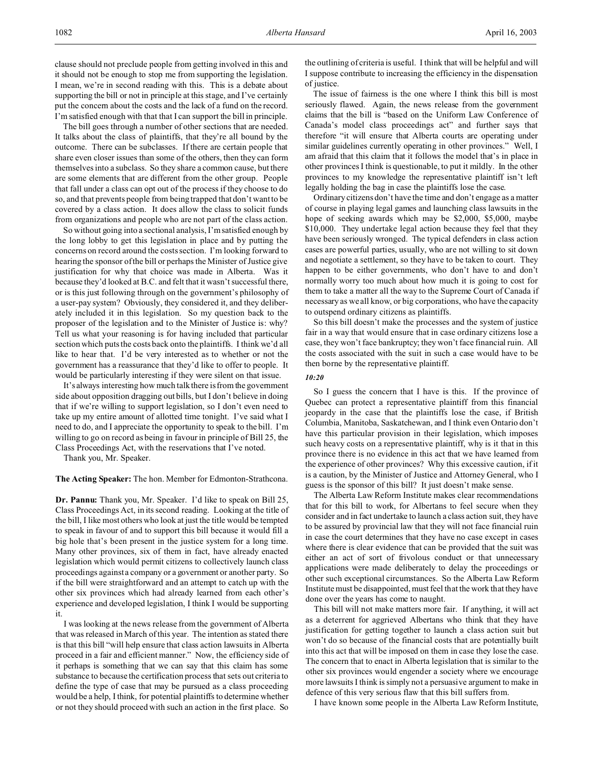The bill goes through a number of other sections that are needed. It talks about the class of plaintiffs, that they're all bound by the outcome. There can be subclasses. If there are certain people that share even closer issues than some of the others, then they can form themselves into a subclass. So they share a common cause, but there are some elements that are different from the other group. People that fall under a class can opt out of the process if they choose to do so, and that prevents people from being trapped that don't want to be covered by a class action. It does allow the class to solicit funds from organizations and people who are not part of the class action.

So without going into a sectional analysis, I'm satisfied enough by the long lobby to get this legislation in place and by putting the concerns on record around the costs section. I'm looking forward to hearing the sponsor of the bill or perhaps the Minister of Justice give justification for why that choice was made in Alberta. Was it because they'd looked at B.C. and felt that it wasn't successful there, or is this just following through on the government's philosophy of a user-pay system? Obviously, they considered it, and they deliberately included it in this legislation. So my question back to the proposer of the legislation and to the Minister of Justice is: why? Tell us what your reasoning is for having included that particular section which puts the costs back onto the plaintiffs. I think we'd all like to hear that. I'd be very interested as to whether or not the government has a reassurance that they'd like to offer to people. It would be particularly interesting if they were silent on that issue.

It's always interesting how much talk there is from the government side about opposition dragging out bills, but I don't believe in doing that if we're willing to support legislation, so I don't even need to take up my entire amount of allotted time tonight. I've said what I need to do, and I appreciate the opportunity to speak to the bill. I'm willing to go on record as being in favour in principle of Bill 25, the Class Proceedings Act, with the reservations that I've noted.

Thank you, Mr. Speaker.

**The Acting Speaker:** The hon. Member for Edmonton-Strathcona.

**Dr. Pannu:** Thank you, Mr. Speaker. I'd like to speak on Bill 25, Class Proceedings Act, in its second reading. Looking at the title of the bill, I like most others who look at just the title would be tempted to speak in favour of and to support this bill because it would fill a big hole that's been present in the justice system for a long time. Many other provinces, six of them in fact, have already enacted legislation which would permit citizens to collectively launch class proceedings against a company or a government or another party. So if the bill were straightforward and an attempt to catch up with the other six provinces which had already learned from each other's experience and developed legislation, I think I would be supporting it.

I was looking at the news release from the government of Alberta that was released in March of this year. The intention as stated there is that this bill "will help ensure that class action lawsuits in Alberta proceed in a fair and efficient manner." Now, the efficiency side of it perhaps is something that we can say that this claim has some substance to because the certification process that sets out criteria to define the type of case that may be pursued as a class proceeding would be a help, I think, for potential plaintiffs to determine whether or not they should proceed with such an action in the first place. So

the outlining of criteria is useful. I think that will be helpful and will I suppose contribute to increasing the efficiency in the dispensation of justice.

The issue of fairness is the one where I think this bill is most seriously flawed. Again, the news release from the government claims that the bill is "based on the Uniform Law Conference of Canada's model class proceedings act" and further says that therefore "it will ensure that Alberta courts are operating under similar guidelines currently operating in other provinces." Well, I am afraid that this claim that it follows the model that's in place in other provinces I think is questionable, to put it mildly. In the other provinces to my knowledge the representative plaintiff isn't left legally holding the bag in case the plaintiffs lose the case.

Ordinary citizens don't have the time and don't engage as a matter of course in playing legal games and launching class lawsuits in the hope of seeking awards which may be \$2,000, \$5,000, maybe \$10,000. They undertake legal action because they feel that they have been seriously wronged. The typical defenders in class action cases are powerful parties, usually, who are not willing to sit down and negotiate a settlement, so they have to be taken to court. They happen to be either governments, who don't have to and don't normally worry too much about how much it is going to cost for them to take a matter all the way to the Supreme Court of Canada if necessary as we all know, or big corporations, who have the capacity to outspend ordinary citizens as plaintiffs.

So this bill doesn't make the processes and the system of justice fair in a way that would ensure that in case ordinary citizens lose a case, they won't face bankruptcy; they won't face financial ruin. All the costs associated with the suit in such a case would have to be then borne by the representative plaintiff.

## *10:20*

So I guess the concern that I have is this. If the province of Quebec can protect a representative plaintiff from this financial jeopardy in the case that the plaintiffs lose the case, if British Columbia, Manitoba, Saskatchewan, and I think even Ontario don't have this particular provision in their legislation, which imposes such heavy costs on a representative plaintiff, why is it that in this province there is no evidence in this act that we have learned from the experience of other provinces? Why this excessive caution, if it is a caution, by the Minister of Justice and Attorney General, who I guess is the sponsor of this bill? It just doesn't make sense.

The Alberta Law Reform Institute makes clear recommendations that for this bill to work, for Albertans to feel secure when they consider and in fact undertake to launch a class action suit, they have to be assured by provincial law that they will not face financial ruin in case the court determines that they have no case except in cases where there is clear evidence that can be provided that the suit was either an act of sort of frivolous conduct or that unnecessary applications were made deliberately to delay the proceedings or other such exceptional circumstances. So the Alberta Law Reform Institute must be disappointed, must feel that the work that they have done over the years has come to naught.

This bill will not make matters more fair. If anything, it will act as a deterrent for aggrieved Albertans who think that they have justification for getting together to launch a class action suit but won't do so because of the financial costs that are potentially built into this act that will be imposed on them in case they lose the case. The concern that to enact in Alberta legislation that is similar to the other six provinces would engender a society where we encourage more lawsuits I think is simply not a persuasive argument to make in defence of this very serious flaw that this bill suffers from.

I have known some people in the Alberta Law Reform Institute,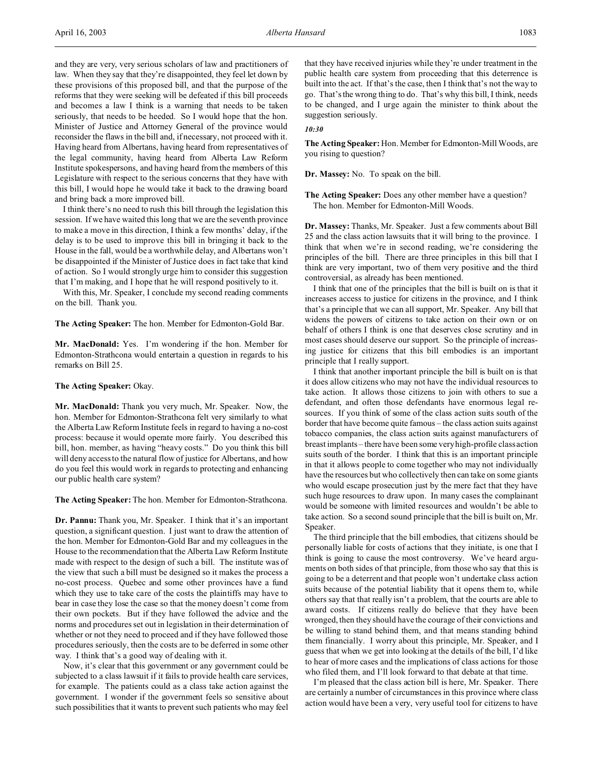and they are very, very serious scholars of law and practitioners of law. When they say that they're disappointed, they feel let down by these provisions of this proposed bill, and that the purpose of the reforms that they were seeking will be defeated if this bill proceeds and becomes a law I think is a warning that needs to be taken seriously, that needs to be heeded. So I would hope that the hon. Minister of Justice and Attorney General of the province would reconsider the flaws in the bill and, if necessary, not proceed with it. Having heard from Albertans, having heard from representatives of the legal community, having heard from Alberta Law Reform Institute spokespersons, and having heard from the members of this Legislature with respect to the serious concerns that they have with this bill, I would hope he would take it back to the drawing board and bring back a more improved bill.

I think there's no need to rush this bill through the legislation this session. If we have waited this long that we are the seventh province to make a move in this direction, I think a few months' delay, if the delay is to be used to improve this bill in bringing it back to the House in the fall, would be a worthwhile delay, and Albertans won't be disappointed if the Minister of Justice does in fact take that kind of action. So I would strongly urge him to consider this suggestion that I'm making, and I hope that he will respond positively to it.

With this, Mr. Speaker, I conclude my second reading comments on the bill. Thank you.

**The Acting Speaker:** The hon. Member for Edmonton-Gold Bar.

**Mr. MacDonald:** Yes. I'm wondering if the hon. Member for Edmonton-Strathcona would entertain a question in regards to his remarks on Bill 25.

## **The Acting Speaker:** Okay.

**Mr. MacDonald:** Thank you very much, Mr. Speaker. Now, the hon. Member for Edmonton-Strathcona felt very similarly to what the Alberta Law Reform Institute feels in regard to having a no-cost process: because it would operate more fairly. You described this bill, hon. member, as having "heavy costs." Do you think this bill will deny access to the natural flow of justice for Albertans, and how do you feel this would work in regards to protecting and enhancing our public health care system?

**The Acting Speaker:** The hon. Member for Edmonton-Strathcona.

**Dr. Pannu:** Thank you, Mr. Speaker. I think that it's an important question, a significant question. I just want to draw the attention of the hon. Member for Edmonton-Gold Bar and my colleagues in the House to the recommendation that the Alberta Law Reform Institute made with respect to the design of such a bill. The institute was of the view that such a bill must be designed so it makes the process a no-cost process. Quebec and some other provinces have a fund which they use to take care of the costs the plaintiffs may have to bear in case they lose the case so that the money doesn't come from their own pockets. But if they have followed the advice and the norms and procedures set out in legislation in their determination of whether or not they need to proceed and if they have followed those procedures seriously, then the costs are to be deferred in some other way. I think that's a good way of dealing with it.

Now, it's clear that this government or any government could be subjected to a class lawsuit if it fails to provide health care services, for example. The patients could as a class take action against the government. I wonder if the government feels so sensitive about such possibilities that it wants to prevent such patients who may feel that they have received injuries while they're under treatment in the public health care system from proceeding that this deterrence is built into the act. If that's the case, then I think that's not the way to go. That's the wrong thing to do. That's why this bill, I think, needs to be changed, and I urge again the minister to think about the suggestion seriously.

#### *10:30*

**The Acting Speaker:** Hon. Member for Edmonton-Mill Woods, are you rising to question?

**Dr. Massey:** No. To speak on the bill.

**The Acting Speaker:** Does any other member have a question? The hon. Member for Edmonton-Mill Woods.

**Dr. Massey:** Thanks, Mr. Speaker. Just a few comments about Bill 25 and the class action lawsuits that it will bring to the province. I think that when we're in second reading, we're considering the principles of the bill. There are three principles in this bill that I think are very important, two of them very positive and the third controversial, as already has been mentioned.

I think that one of the principles that the bill is built on is that it increases access to justice for citizens in the province, and I think that's a principle that we can all support, Mr. Speaker. Any bill that widens the powers of citizens to take action on their own or on behalf of others I think is one that deserves close scrutiny and in most cases should deserve our support. So the principle of increasing justice for citizens that this bill embodies is an important principle that I really support.

I think that another important principle the bill is built on is that it does allow citizens who may not have the individual resources to take action. It allows those citizens to join with others to sue a defendant, and often those defendants have enormous legal resources. If you think of some of the class action suits south of the border that have become quite famous – the class action suits against tobacco companies, the class action suits against manufacturers of breast implants – there have been some very high-profile class action suits south of the border. I think that this is an important principle in that it allows people to come together who may not individually have the resources but who collectively then can take on some giants who would escape prosecution just by the mere fact that they have such huge resources to draw upon. In many cases the complainant would be someone with limited resources and wouldn't be able to take action. So a second sound principle that the bill is built on, Mr. Speaker.

The third principle that the bill embodies, that citizens should be personally liable for costs of actions that they initiate, is one that I think is going to cause the most controversy. We've heard arguments on both sides of that principle, from those who say that this is going to be a deterrent and that people won't undertake class action suits because of the potential liability that it opens them to, while others say that that really isn't a problem, that the courts are able to award costs. If citizens really do believe that they have been wronged, then they should have the courage of their convictions and be willing to stand behind them, and that means standing behind them financially. I worry about this principle, Mr. Speaker, and I guess that when we get into looking at the details of the bill, I'd like to hear of more cases and the implications of class actions for those who filed them, and I'll look forward to that debate at that time.

I'm pleased that the class action bill is here, Mr. Speaker. There are certainly a number of circumstances in this province where class action would have been a very, very useful tool for citizens to have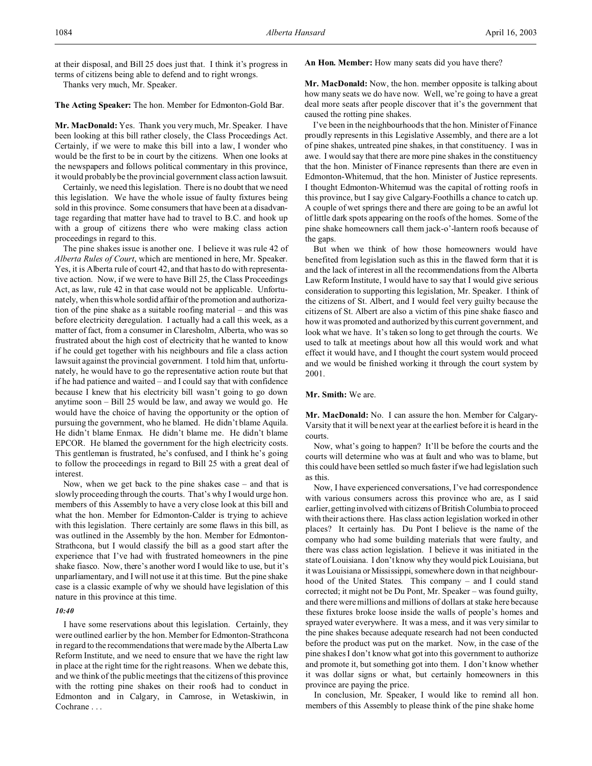at their disposal, and Bill 25 does just that. I think it's progress in terms of citizens being able to defend and to right wrongs.

Thanks very much, Mr. Speaker.

**The Acting Speaker:** The hon. Member for Edmonton-Gold Bar.

**Mr. MacDonald:** Yes. Thank you very much, Mr. Speaker. I have been looking at this bill rather closely, the Class Proceedings Act. Certainly, if we were to make this bill into a law, I wonder who would be the first to be in court by the citizens. When one looks at the newspapers and follows political commentary in this province, it would probably be the provincial government class action lawsuit.

Certainly, we need this legislation. There is no doubt that we need this legislation. We have the whole issue of faulty fixtures being sold in this province. Some consumers that have been at a disadvantage regarding that matter have had to travel to B.C. and hook up with a group of citizens there who were making class action proceedings in regard to this.

The pine shakes issue is another one. I believe it was rule 42 of *Alberta Rules of Court*, which are mentioned in here, Mr. Speaker. Yes, it is Alberta rule of court 42, and that has to do with representative action. Now, if we were to have Bill 25, the Class Proceedings Act, as law, rule 42 in that case would not be applicable. Unfortunately, when this whole sordid affair of the promotion and authorization of the pine shake as a suitable roofing material – and this was before electricity deregulation. I actually had a call this week, as a matter of fact, from a consumer in Claresholm, Alberta, who was so frustrated about the high cost of electricity that he wanted to know if he could get together with his neighbours and file a class action lawsuit against the provincial government. I told him that, unfortunately, he would have to go the representative action route but that if he had patience and waited – and I could say that with confidence because I knew that his electricity bill wasn't going to go down anytime soon – Bill 25 would be law, and away we would go. He would have the choice of having the opportunity or the option of pursuing the government, who he blamed. He didn't blame Aquila. He didn't blame Enmax. He didn't blame me. He didn't blame EPCOR. He blamed the government for the high electricity costs. This gentleman is frustrated, he's confused, and I think he's going to follow the proceedings in regard to Bill 25 with a great deal of interest.

Now, when we get back to the pine shakes case – and that is slowly proceeding through the courts. That's why I would urge hon. members of this Assembly to have a very close look at this bill and what the hon. Member for Edmonton-Calder is trying to achieve with this legislation. There certainly are some flaws in this bill, as was outlined in the Assembly by the hon. Member for Edmonton-Strathcona, but I would classify the bill as a good start after the experience that I've had with frustrated homeowners in the pine shake fiasco. Now, there's another word I would like to use, but it's unparliamentary, and I will not use it at this time. But the pine shake case is a classic example of why we should have legislation of this nature in this province at this time.

#### *10:40*

I have some reservations about this legislation. Certainly, they were outlined earlier by the hon. Member for Edmonton-Strathcona in regard to the recommendations that were made by the Alberta Law Reform Institute, and we need to ensure that we have the right law in place at the right time for the right reasons. When we debate this, and we think of the public meetings that the citizens of this province with the rotting pine shakes on their roofs had to conduct in Edmonton and in Calgary, in Camrose, in Wetaskiwin, in Cochrane . . .

**An Hon. Member:** How many seats did you have there?

**Mr. MacDonald:** Now, the hon. member opposite is talking about how many seats we do have now. Well, we're going to have a great deal more seats after people discover that it's the government that caused the rotting pine shakes.

I've been in the neighbourhoods that the hon. Minister of Finance proudly represents in this Legislative Assembly, and there are a lot of pine shakes, untreated pine shakes, in that constituency. I was in awe. I would say that there are more pine shakes in the constituency that the hon. Minister of Finance represents than there are even in Edmonton-Whitemud, that the hon. Minister of Justice represents. I thought Edmonton-Whitemud was the capital of rotting roofs in this province, but I say give Calgary-Foothills a chance to catch up. A couple of wet springs there and there are going to be an awful lot of little dark spots appearing on the roofs of the homes. Some of the pine shake homeowners call them jack-o'-lantern roofs because of the gaps.

But when we think of how those homeowners would have benefited from legislation such as this in the flawed form that it is and the lack of interest in all the recommendations from the Alberta Law Reform Institute, I would have to say that I would give serious consideration to supporting this legislation, Mr. Speaker. I think of the citizens of St. Albert, and I would feel very guilty because the citizens of St. Albert are also a victim of this pine shake fiasco and how it was promoted and authorized by this current government, and look what we have. It's taken so long to get through the courts. We used to talk at meetings about how all this would work and what effect it would have, and I thought the court system would proceed and we would be finished working it through the court system by 2001.

### **Mr. Smith:** We are.

**Mr. MacDonald:** No. I can assure the hon. Member for Calgary-Varsity that it will be next year at the earliest before it is heard in the courts.

Now, what's going to happen? It'll be before the courts and the courts will determine who was at fault and who was to blame, but this could have been settled so much faster if we had legislation such as this.

Now, I have experienced conversations, I've had correspondence with various consumers across this province who are, as I said earlier, getting involved with citizens of British Columbia to proceed with their actions there. Has class action legislation worked in other places? It certainly has. Du Pont I believe is the name of the company who had some building materials that were faulty, and there was class action legislation. I believe it was initiated in the state of Louisiana. I don't know why they would pick Louisiana, but it was Louisiana or Mississippi, somewhere down in that neighbourhood of the United States. This company – and I could stand corrected; it might not be Du Pont, Mr. Speaker – was found guilty, and there were millions and millions of dollars at stake here because these fixtures broke loose inside the walls of people's homes and sprayed water everywhere. It was a mess, and it was very similar to the pine shakes because adequate research had not been conducted before the product was put on the market. Now, in the case of the pine shakes I don't know what got into this government to authorize and promote it, but something got into them. I don't know whether it was dollar signs or what, but certainly homeowners in this province are paying the price.

In conclusion, Mr. Speaker, I would like to remind all hon. members of this Assembly to please think of the pine shake home